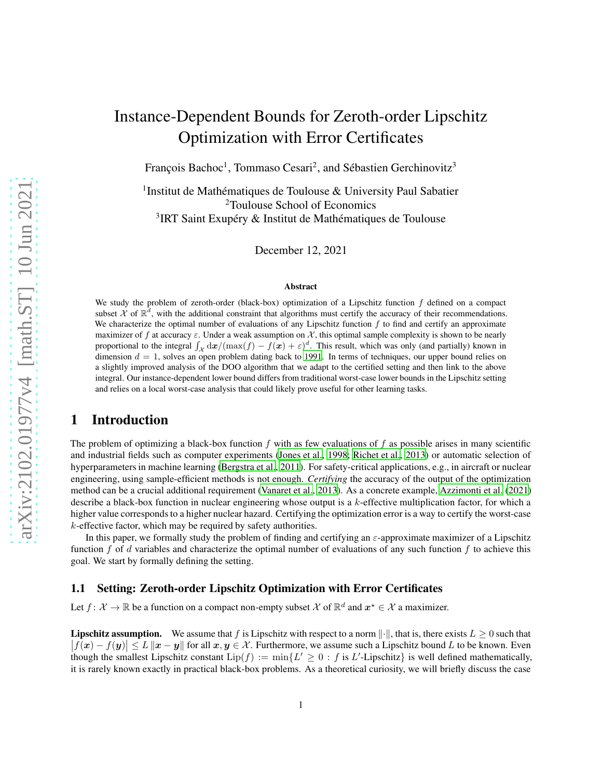# Instance-Dependent Bounds for Zeroth-order Lipschitz Optimization with Error Certificates

François Bachoc<sup>1</sup>, Tommaso Cesari<sup>2</sup>, and Sébastien Gerchinovitz<sup>3</sup>

<sup>1</sup>Institut de Mathématiques de Toulouse & University Paul Sabatier <sup>2</sup>Toulouse School of Economics <sup>3</sup>IRT Saint Exupéry & Institut de Mathématiques de Toulouse

December 12, 2021

#### Abstract

We study the problem of zeroth-order (black-box) optimization of a Lipschitz function  $f$  defined on a compact subset X of  $\mathbb{R}^d$ , with the additional constraint that algorithms must certify the accuracy of their recommendations. We characterize the optimal number of evaluations of any Lipschitz function  $f$  to find and certify an approximate maximizer of f at accuracy  $\varepsilon$ . Under a weak assumption on X, this optimal sample complexity is shown to be nearly proportional to the integral  $\int_{\mathcal{X}} d\mathbf{x}/(\max(f) - f(\mathbf{x}) + \varepsilon)^d$ . This result, which was only (and partially) known in dimension  $d = 1$ , solves an open problem dating back to [1991](#page-10-0). In terms of techniques, our upper bound relies on a slightly improved analysis of the DOO algorithm that we adapt to the certified setting and then link to the above integral. Our instance-dependent lower bound differs from traditional worst-case lower bounds in the Lipschitz setting and relies on a local worst-case analysis that could likely prove useful for other learning tasks.

## 1 Introduction

The problem of optimizing a black-box function  $f$  with as few evaluations of  $f$  as possible arises in many scientific and industrial fields such as computer experiments [\(Jones et](#page-10-1) al., [1998;](#page-10-1) [Richet et al.](#page-10-2), [2013\)](#page-10-2) or automatic selection of hyperparameters in machine learning [\(Bergstra et al.](#page-9-0), [2011](#page-9-0)). For safety-critical applications, e.g., in aircraft or nuclear engineering, using sample-efficient methods is not enough. *Certifying* the accuracy of the output of the optimization method can be a crucial additional requirement [\(Vanaret et al.](#page-10-3), [2013](#page-10-3)). As a concrete example, [Azzimonti et al. \(2021\)](#page-9-1) describe a black-box function in nuclear engineering whose output is a k-effective multiplication factor, for which a higher value corresponds to a higher nuclear hazard. Certifying the optimization error is a way to certify the worst-case  $k$ -effective factor, which may be required by safety authorities.

In this paper, we formally study the problem of finding and certifying an  $\varepsilon$ -approximate maximizer of a Lipschitz function f of d variables and characterize the optimal number of evaluations of any such function f to achieve this goal. We start by formally defining the setting.

### 1.1 Setting: Zeroth-order Lipschitz Optimization with Error Certificates

Let  $f: \mathcal{X} \to \mathbb{R}$  be a function on a compact non-empty subset  $\mathcal{X}$  of  $\mathbb{R}^d$  and  $x^* \in \mathcal{X}$  a maximizer.

**Lipschitz assumption.** We assume that f is Lipschitz with respect to a norm  $\|\cdot\|$ , that is, there exists  $L \geq 0$  such that  $|\tilde{f}(x) - f(y)| \leq L ||x - y||$  for all  $x, y \in \mathcal{X}$ . Furthermore, we assume such a Lipschitz bound L to be known. Even though the smallest Lipschitz constant  $\text{Lip}(f) := \min\{L' \geq 0 : f \text{ is } L'$ -Lipschitz $\}$  is well defined mathematically, it is rarely known exactly in practical black-box problems. As a theoretical curiosity, we will briefly discuss the case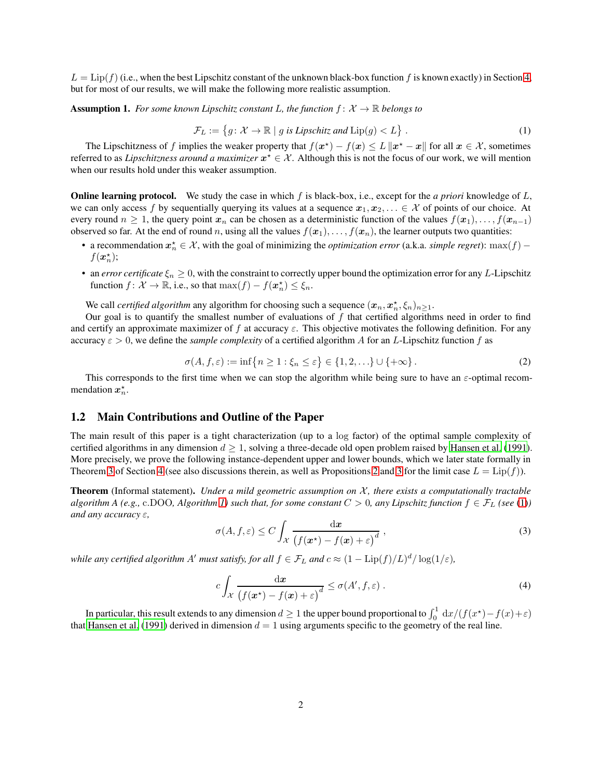$L = \text{Lip}(f)$  (i.e., when the best Lipschitz constant of the unknown black-box function f is known exactly) in Section [4,](#page-7-0) but for most of our results, we will make the following more realistic assumption.

**Assumption 1.** For some known Lipschitz constant L, the function  $f: \mathcal{X} \to \mathbb{R}$  belongs to

<span id="page-1-0"></span>
$$
\mathcal{F}_L := \{ g \colon \mathcal{X} \to \mathbb{R} \mid g \text{ is Lipschitz and } \text{Lip}(g) < L \} \,. \tag{1}
$$

The Lipschitzness of f implies the weaker property that  $f(x^*) - f(x) \leq L \|x^* - x\|$  for all  $x \in \mathcal{X}$ , sometimes referred to as *Lipschitzness around a maximizer*  $x^* \in \mathcal{X}$ . Although this is not the focus of our work, we will mention when our results hold under this weaker assumption.

Online learning protocol. We study the case in which f is black-box, i.e., except for the *a priori* knowledge of L, we can only access f by sequentially querying its values at a sequence  $x_1, x_2, \ldots \in \mathcal{X}$  of points of our choice. At every round  $n \geq 1$ , the query point  $x_n$  can be chosen as a deterministic function of the values  $f(x_1), \ldots, f(x_{n-1})$ observed so far. At the end of round n, using all the values  $f(x_1), \ldots, f(x_n)$ , the learner outputs two quantities:

- a recommendation  $x_n^* \in \mathcal{X}$ , with the goal of minimizing the *optimization error* (a.k.a. *simple regret*): max $(f)$   $f(\boldsymbol{x}_n^{\star});$
- an *error certificate*  $\xi_n \geq 0$ , with the constraint to correctly upper bound the optimization error for any L-Lipschitz function  $f: \mathcal{X} \to \mathbb{R}$ , i.e., so that  $\max(f) - f(\boldsymbol{x}_n^{\star}) \leq \xi_n$ .

We call *certified algorithm* any algorithm for choosing such a sequence  $(x_n, x_n^*, \xi_n)_{n \geq 1}$ .

Our goal is to quantify the smallest number of evaluations of  $f$  that certified algorithms need in order to find and certify an approximate maximizer of f at accuracy  $\varepsilon$ . This objective motivates the following definition. For any accuracy  $\varepsilon > 0$ , we define the *sample complexity* of a certified algorithm A for an L-Lipschitz function f as

<span id="page-1-3"></span>
$$
\sigma(A, f, \varepsilon) := \inf \{ n \ge 1 : \xi_n \le \varepsilon \} \in \{ 1, 2, \ldots \} \cup \{ +\infty \}.
$$
 (2)

This corresponds to the first time when we can stop the algorithm while being sure to have an  $\varepsilon$ -optimal recommendation  $x_n^*$ .

### 1.2 Main Contributions and Outline of the Paper

The main result of this paper is a tight characterization (up to a log factor) of the optimal sample complexity of certified algorithms in any dimension  $d \geq 1$ , solving a three-decade old open problem raised by [Hansen et](#page-10-0) al. [\(1991\)](#page-10-0). More precisely, we prove the following instance-dependent upper and lower bounds, which we later state formally in Theorem [3](#page-9-2) of Section [4](#page-7-0) (see also discussions therein, as well as Propositions [2](#page-8-1) and 3 for the limit case  $L = \text{Lip}(f)$ ).

Theorem (Informal statement). *Under a mild geometric assumption on* X*, there exists a computationally tractable algorithm A (e.g., c.DOO, Algorithm [1\)](#page-5-0)* such that, for some constant  $C > 0$ , any Lipschitz function  $f \in \mathcal{F}_L$  (see [\(1\)](#page-1-0)) *and any accuracy* ε*,*

<span id="page-1-1"></span>
$$
\sigma(A, f, \varepsilon) \le C \int_{\mathcal{X}} \frac{\mathrm{d}x}{\left(f(x^*) - f(x) + \varepsilon\right)^d},\tag{3}
$$

*while any certified algorithm A' must satisfy, for all*  $f \in \mathcal{F}_L$  *and*  $c \approx (1 - \text{Lip}(f)/L)^d/\log(1/\varepsilon)$ *,* 

<span id="page-1-2"></span>
$$
c \int_{\mathcal{X}} \frac{\mathrm{d} \mathbf{x}}{\left(f(\mathbf{x}^{\star}) - f(\mathbf{x}) + \varepsilon\right)^{d}} \leq \sigma(A', f, \varepsilon) . \tag{4}
$$

In particular, this result extends to any dimension  $d\geq 1$  the upper bound proportional to  $\int_0^1\, \mathrm{d} x/(f(x^\star)-f(x)+\varepsilon)$ that [Hansen et al. \(1991\)](#page-10-0) derived in dimension  $d = 1$  using arguments specific to the geometry of the real line.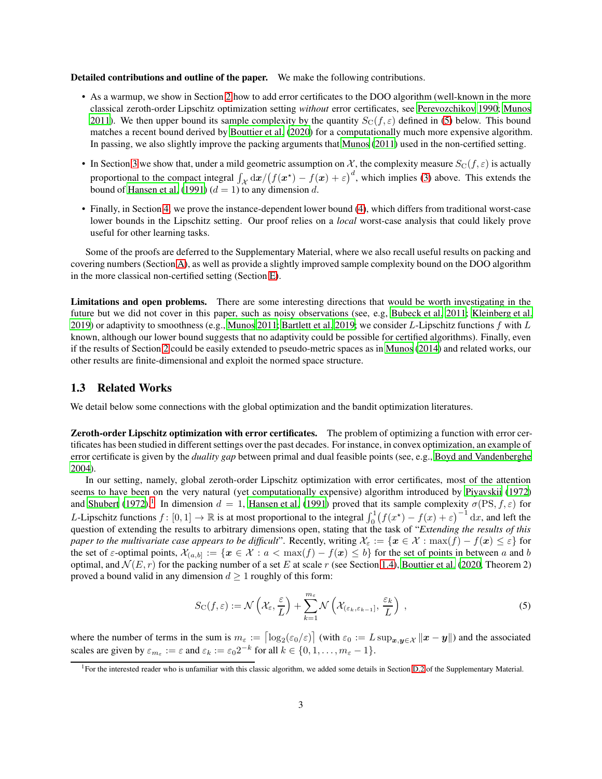Detailed contributions and outline of the paper. We make the following contributions.

- As a warmup, we show in Section [2](#page-4-0) how to add error certificates to the DOO algorithm (well-known in the more classical zeroth-order Lipschitz optimization setting *without* error certificates, see [Perevozchikov 1990;](#page-10-4) [Munos](#page-10-5) [2011\)](#page-10-5). We then upper bound its sample complexity by the quantity  $S_{\rm C}(f,\varepsilon)$  defined in [\(5\)](#page-2-0) below. This bound matches a recent bound derived by [Bouttier et al. \(2020](#page-9-3)) for a computationally much more expensive algorithm. In passing, we also slightly improve the packing arguments that [Munos \(2011\)](#page-10-5) used in the non-certified setting.
- In Section [3](#page-5-1) we show that, under a mild geometric assumption on X, the complexity measure  $S_{\rm C}(f,\varepsilon)$  is actually proportional to the compact integral  $\int_{\mathcal{X}} d\mathbf{x}/(f(\mathbf{x}^*) - f(\mathbf{x}) + \varepsilon)^d$ , which implies [\(3\)](#page-1-1) above. This extends the bound of [Hansen et al.](#page-10-0) [\(1991\)](#page-10-0) ( $d = 1$ ) to any dimension d.
- Finally, in Section [4,](#page-7-0) we prove the instance-dependent lower bound [\(4\)](#page-1-2), which differs from traditional worst-case lower bounds in the Lipschitz setting. Our proof relies on a *local* worst-case analysis that could likely prove useful for other learning tasks.

Some of the proofs are deferred to the Supplementary Material, where we also recall useful results on packing and covering numbers (Section [A\)](#page-11-0), as well as provide a slightly improved sample complexity bound on the DOO algorithm in the more classical non-certified setting (Section [E\)](#page-17-0).

Limitations and open problems. There are some interesting directions that would be worth investigating in the future but we did not cover in this paper, such as noisy observations (see, e.g, [Bubeck et al. 2011](#page-9-4); [Kleinberg et al.](#page-10-6) [2019\)](#page-10-6) or adaptivity to smoothness (e.g., [Munos 2011;](#page-10-5) [Bartlett et al. 2019;](#page-9-5) we consider L-Lipschitz functions f with L known, although our lower bound suggests that no adaptivity could be possible for certified algorithms). Finally, even if the results of Section [2](#page-4-0) could be easily extended to pseudo-metric spaces as in [Munos \(2014\)](#page-10-7) and related works, our other results are finite-dimensional and exploit the normed space structure.

### <span id="page-2-2"></span>1.3 Related Works

We detail below some connections with the global optimization and the bandit optimization literatures.

Zeroth-order Lipschitz optimization with error certificates. The problem of optimizing a function with error certificates has been studied in different settings over the past decades. For instance, in convex optimization, an example of error certificate is given by the *duality gap* between primal and dual feasible points (see, e.g., Boyd and [Vandenberghe](#page-9-6) [2004\)](#page-9-6).

In our setting, namely, global zeroth-order Lipschitz optimization with error certificates, most of the attention seems to have been on the very natural (yet computationally expensive) algorithm introduced by [Piyavskii \(1972\)](#page-10-8) and [Shubert](#page-10-9) [\(1972\)](#page-10-9).<sup>[1](#page-2-1)</sup> In dimension  $d = 1$ , [Hansen et al.](#page-10-0) [\(1991\)](#page-10-0) proved that its sample complexity  $\sigma(PS, f, \varepsilon)$  for L-Lipschitz functions  $f: [0,1] \to \mathbb{R}$  is at most proportional to the integral  $\int_0^1 (f(x^*) - f(x) + \varepsilon)^{-1} dx$ , and left the question of extending the results to arbitrary dimensions open, stating that the task of "*Extending the results of this paper to the multivariate case appears to be difficult*". Recently, writing  $\mathcal{X}_{\varepsilon} := \{x \in \mathcal{X} : \max(f) - f(x) \leq \varepsilon\}$  for the set of  $\varepsilon$ -optimal points,  $\mathcal{X}_{(a,b)} := \{x \in \mathcal{X} : a < \max(f) - f(x) \le b\}$  for the set of points in between a and b optimal, and  $\mathcal{N}(E, r)$  for the packing number of a set E at scale r (see Section [1.4\)](#page-3-0), [Bouttier et al. \(2020,](#page-9-3) Theorem 2) proved a bound valid in any dimension  $d \geq 1$  roughly of this form:

<span id="page-2-0"></span>
$$
S_{\mathcal{C}}(f,\varepsilon) := \mathcal{N}\left(\mathcal{X}_{\varepsilon},\frac{\varepsilon}{L}\right) + \sum_{k=1}^{m_{\varepsilon}} \mathcal{N}\left(\mathcal{X}_{(\varepsilon_k,\varepsilon_{k-1}]},\frac{\varepsilon_k}{L}\right) ,\qquad(5)
$$

where the number of terms in the sum is  $m_{\varepsilon} := \left[\log_2(\varepsilon_0/\varepsilon)\right]$  (with  $\varepsilon_0 := L \sup_{\mathbf{x}, \mathbf{y} \in \mathcal{X}} ||\mathbf{x} - \mathbf{y}||$ ) and the associated scales are given by  $\varepsilon_{m_{\varepsilon}} := \varepsilon$  and  $\varepsilon_k := \varepsilon_0 2^{-k}$  for all  $k \in \{0, 1, \ldots, m_{\varepsilon} - 1\}.$ 

<span id="page-2-1"></span><sup>&</sup>lt;sup>1</sup>For the interested reader who is unfamiliar with this classic algorithm, we added some details in Section [D.2](#page-15-0) of the Supplementary Material.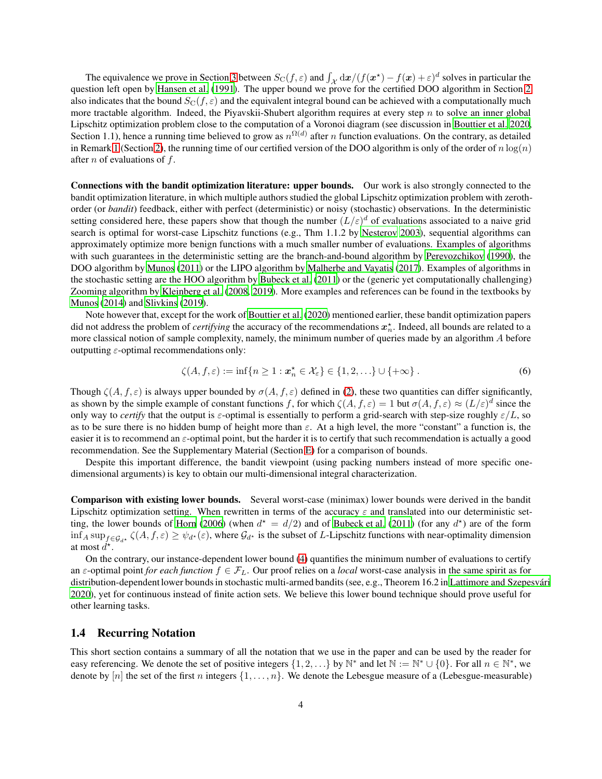The equivalence we prove in Section [3](#page-5-1) between  $S_{\text{C}}(f, \varepsilon)$  and  $\int_{\mathcal{X}} d\mathbf{x} / (f(\mathbf{x}^*) - f(\mathbf{x}) + \varepsilon)^d$  solves in particular the question left open by [Hansen et al. \(1991](#page-10-0)). The upper bound we prove for the certified DOO algorithm in Section [2](#page-4-0) also indicates that the bound  $S_{\text{C}}(f, \varepsilon)$  and the equivalent integral bound can be achieved with a computationally much more tractable algorithm. Indeed, the Piyavskii-Shubert algorithm requires at every step  $n$  to solve an inner global Lipschitz optimization problem close to the computation of a Voronoi diagram (see discussion in [Bouttier et al. 2020,](#page-9-3) Section 1.1), hence a running time believed to grow as  $n^{\Omega(d)}$  after *n* function evaluations. On the contrary, as detailed in Remark [1](#page-4-1) (Section [2\)](#page-4-0), the running time of our certified version of the DOO algorithm is only of the order of  $n \log(n)$ after *n* of evaluations of  $f$ .

Connections with the bandit optimization literature: upper bounds. Our work is also strongly connected to the bandit optimization literature, in which multiple authors studied the global Lipschitz optimization problem with zerothorder (or *bandit*) feedback, either with perfect (deterministic) or noisy (stochastic) observations. In the deterministic setting considered here, these papers show that though the number  $(L/\varepsilon)^d$  of evaluations associated to a naive grid search is optimal for worst-case Lipschitz functions (e.g., Thm 1.1.2 by [Nesterov 2003](#page-10-10)), sequential algorithms can approximately optimize more benign functions with a much smaller number of evaluations. Examples of algorithms with such guarantees in the deterministic setting are the branch-and-bound algorithm by [Perevozchikov](#page-10-4) [\(1990\)](#page-10-4), the DOO algorithm by [Munos \(2011\)](#page-10-5) or the LIPO algorithm by [Malherbe and Vayatis](#page-10-11) [\(2017\)](#page-10-11). Examples of algorithms in the stochastic setting are the HOO algorithm by [Bubeck et al.](#page-9-4) [\(2011\)](#page-9-4) or the (generic yet computationally challenging) Zooming algorithm by [Kleinberg et al. \(2008,](#page-10-12) [2019\)](#page-10-6). More examples and references can be found in the textbooks by [Munos \(2014\)](#page-10-7) and [Slivkins \(2019\)](#page-10-13).

Note however that, except for the work of [Bouttier et al.](#page-9-3) [\(2020\)](#page-9-3) mentioned earlier, these bandit optimization papers did not address the problem of *certifying* the accuracy of the recommendations  $x_n^*$ . Indeed, all bounds are related to a more classical notion of sample complexity, namely, the minimum number of queries made by an algorithm A before outputting  $\varepsilon$ -optimal recommendations only:

<span id="page-3-1"></span>
$$
\zeta(A, f, \varepsilon) := \inf \{ n \ge 1 : \mathbf{x}_n^{\star} \in \mathcal{X}_{\varepsilon} \} \in \{ 1, 2, \ldots \} \cup \{ +\infty \} .
$$
 (6)

Though  $\zeta(A, f, \varepsilon)$  is always upper bounded by  $\sigma(A, f, \varepsilon)$  defined in [\(2\)](#page-1-3), these two quantities can differ significantly, as shown by the simple example of constant functions f, for which  $\zeta(A, f, \varepsilon) = 1$  but  $\sigma(A, f, \varepsilon) \approx (L/\varepsilon)^d$  since the only way to *certify* that the output is  $\varepsilon$ -optimal is essentially to perform a grid-search with step-size roughly  $\varepsilon/L$ , so as to be sure there is no hidden bump of height more than  $\varepsilon$ . At a high level, the more "constant" a function is, the easier it is to recommend an  $\varepsilon$ -optimal point, but the harder it is to certify that such recommendation is actually a good recommendation. See the Supplementary Material (Section [E\)](#page-17-0) for a comparison of bounds.

Despite this important difference, the bandit viewpoint (using packing numbers instead of more specific onedimensional arguments) is key to obtain our multi-dimensional integral characterization.

Comparison with existing lower bounds. Several worst-case (minimax) lower bounds were derived in the bandit Lipschitz optimization setting. When rewritten in terms of the accuracy  $\varepsilon$  and translated into our deterministic set-ting, the lower bounds of [Horn \(2006\)](#page-10-14) (when  $d^* = d/2$ ) and of [Bubeck et al.](#page-9-4) [\(2011\)](#page-9-4) (for any  $d^*$ ) are of the form  $\inf_A \sup_{f \in \mathcal{G}_{d^*}} \zeta(A, f, \varepsilon) \ge \psi_{d^*}(\varepsilon)$ , where  $\mathcal{G}_{d^*}$  is the subset of L-Lipschitz functions with near-optimality dimension at most  $\check{d}^{\star}$ .

On the contrary, our instance-dependent lower bound [\(4\)](#page-1-2) quantifies the minimum number of evaluations to certify an  $\varepsilon$ -optimal point *for each function*  $f \in \mathcal{F}_L$ . Our proof relies on a *local* worst-case analysis in the same spirit as for distribution-dependent lower bounds in stochastic multi-armed bandits (see, e.g., Theorem 16.2 in [Lattimore and Szepesvári](#page-10-15) [2020\)](#page-10-15), yet for continuous instead of finite action sets. We believe this lower bound technique should prove useful for other learning tasks.

### <span id="page-3-0"></span>1.4 Recurring Notation

This short section contains a summary of all the notation that we use in the paper and can be used by the reader for easy referencing. We denote the set of positive integers  $\{1, 2, ...\}$  by  $\mathbb{N}^*$  and let  $\mathbb{N} := \mathbb{N}^* \cup \{0\}$ . For all  $n \in \mathbb{N}^*$ , we denote by [n] the set of the first n integers  $\{1, \ldots, n\}$ . We denote the Lebesgue measure of a (Lebesgue-measurable)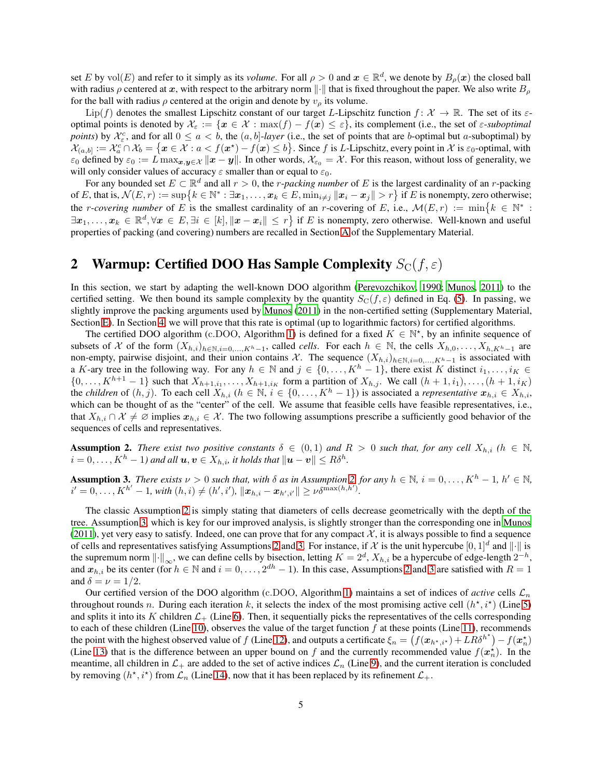set E by  $\text{vol}(E)$  and refer to it simply as its *volume*. For all  $\rho > 0$  and  $x \in \mathbb{R}^d$ , we denote by  $B_\rho(x)$  the closed ball with radius  $\rho$  centered at x, with respect to the arbitrary norm  $\|\cdot\|$  that is fixed throughout the paper. We also write  $B_\rho$ for the ball with radius  $\rho$  centered at the origin and denote by  $v_{\rho}$  its volume.

Lip(f) denotes the smallest Lipschitz constant of our target L-Lipschitz function  $f: \mathcal{X} \to \mathbb{R}$ . The set of its  $\varepsilon$ optimal points is denoted by  $\mathcal{X}_{\varepsilon} := \{x \in \mathcal{X} : \max(f) - f(x) \leq \varepsilon\}$ , its complement (i.e., the set of  $\varepsilon$ -suboptimal *points*) by  $\mathcal{X}_{\varepsilon}^c$ , and for all  $0 \le a < b$ , the  $(a, b]$ -*layer* (i.e., the set of points that are *b*-optimal but *a*-suboptimal) by  $\mathcal{X}_{(a,b]} := \mathcal{X}_a^c \cap \mathcal{X}_b = \{ \mathbf{x} \in \mathcal{X} : a < f(\mathbf{x}^*) - f(\mathbf{x}) \leq b \}.$  Since f is L-Lipschitz, every point in X is  $\varepsilon_0$ -optimal, with  $\varepsilon_0$  defined by  $\varepsilon_0 := L \max_{\mathbf{x}, \mathbf{y} \in \mathcal{X}} ||\mathbf{x} - \mathbf{y}||$ . In other words,  $\mathcal{X}_{\varepsilon_0} = \mathcal{X}$ . For this reason, without loss of generality, we will only consider values of accuracy  $\varepsilon$  smaller than or equal to  $\varepsilon_0$ .

For any bounded set  $E \subset \mathbb{R}^d$  and all  $r > 0$ , the *r*-*packing number* of E is the largest cardinality of an *r*-packing of E, that is,  $\mathcal{N}(E,r) := \sup \{ k \in \mathbb{N}^* : \exists x_1, \ldots, x_k \in E, \min_{i \neq j} ||x_i - x_j|| > r \}$  if E is nonempty, zero otherwise; the *r*-covering number of E is the smallest cardinality of an *r*-covering of E, i.e.,  $\mathcal{M}(E,r) := \min\{k \in \mathbb{N}^* :$  $\exists x_1,\ldots,x_k \in \mathbb{R}^d, \forall x \in E, \exists i \in [k], ||x - x_i|| \leq r \}$  if E is nonempty, zero otherwise. Well-known and useful properties of packing (and covering) numbers are recalled in Section [A](#page-11-0) of the Supplementary Material.

# <span id="page-4-0"></span>2 Warmup: Certified DOO Has Sample Complexity  $S_{\text{C}}(f, \varepsilon)$

In this section, we start by adapting the well-known DOO algorithm [\(Perevozchikov, 1990;](#page-10-4) [Munos, 2011](#page-10-5)) to the certified setting. We then bound its sample complexity by the quantity  $S_{\rm C}(f,\varepsilon)$  defined in Eq. [\(5\)](#page-2-0). In passing, we slightly improve the packing arguments used by [Munos \(2011\)](#page-10-5) in the non-certified setting (Supplementary Material, Section [E\)](#page-17-0). In Section [4,](#page-7-0) we will prove that this rate is optimal (up to logarithmic factors) for certified algorithms.

The certified DOO algorithm (c.DOO, Algorithm [1\)](#page-5-0) is defined for a fixed  $K \in \mathbb{N}^*$ , by an infinite sequence of subsets of X of the form  $(X_{h,i})_{h\in\mathbb{N},i=0,\dots,K^h-1}$ , called *cells*. For each  $h\in\mathbb{N}$ , the cells  $X_{h,0},\dots,X_{h,K^h-1}$  are non-empty, pairwise disjoint, and their union contains X. The sequence  $(X_{h,i})_{h \in \mathbb{N}, i=0,\dots,K^{h}-1}$  is associated with a K-ary tree in the following way. For any  $h \in \mathbb{N}$  and  $j \in \{0, \ldots, K^h - 1\}$ , there exist K distinct  $i_1, \ldots, i_K \in$  $\{0, \ldots, K^{h+1} - 1\}$  such that  $X_{h+1,i_1}, \ldots, X_{h+1,i_K}$  form a partition of  $X_{h,j}$ . We call  $(h + 1, i_1), \ldots, (h + 1, i_K)$ the *children* of  $(h, j)$ . To each cell  $X_{h,i}$   $(h \in \mathbb{N}, i \in \{0, \ldots, K^h-1\})$  is associated a *representative*  $x_{h,i} \in X_{h,i}$ , which can be thought of as the "center" of the cell. We assume that feasible cells have feasible representatives, i.e., that  $X_{h,i} \cap \mathcal{X} \neq \emptyset$  implies  $x_{h,i} \in \mathcal{X}$ . The two following assumptions prescribe a sufficiently good behavior of the sequences of cells and representatives.

<span id="page-4-2"></span>**Assumption 2.** There exist two positive constants  $\delta \in (0,1)$  and  $R > 0$  such that, for any cell  $X_{h,i}$  ( $h \in \mathbb{N}$ ,  $i=0,\ldots,K^h-1)$  and all  $\boldsymbol{u},\boldsymbol{v}\in X_{h,i}$ , it holds that  $\|\boldsymbol{u}-\boldsymbol{v}\|\leq R\delta^h.$ 

<span id="page-4-3"></span>**Assumption 3.** There exists  $\nu > 0$  such that, with  $\delta$  as in Assumption [2,](#page-4-2) for any  $h \in \mathbb{N}$ ,  $i = 0, \ldots, K^h - 1$ ,  $h' \in \mathbb{N}$ ,  $i'=0,\ldots,K^{h'}-1\text{, with } (h,i)\ne(h',i'), \ \|\bm{x}_{h,i}-\bm{x}_{h',i'}\|\geq \nu\delta^{\max(h,h')}.$ 

The classic Assumption [2](#page-4-2) is simply stating that diameters of cells decrease geometrically with the depth of the tree. Assumption [3,](#page-4-3) which is key for our improved analysis, is slightly stronger than the corresponding one in [Munos](#page-10-5) [\(2011\)](#page-10-5), yet very easy to satisfy. Indeed, one can prove that for any compact  $\mathcal{X}$ , it is always possible to find a sequence of cells and representatives satisfying Assumptions [2](#page-4-2) and [3.](#page-4-3) For instance, if X is the unit hypercube  $[0,1]^d$  and  $\|\cdot\|$  is the supremum norm  $\|\cdot\|_{\infty}$ , we can define cells by bisection, letting  $K = 2^d$ ,  $X_{h,i}$  be a hypercube of edge-length  $2^{-h}$ , and  $x_{h,i}$  be its center (for  $h \in \mathbb{N}$  and  $i = 0, \ldots, 2^{dh} - 1$  $i = 0, \ldots, 2^{dh} - 1$  $i = 0, \ldots, 2^{dh} - 1$ ). In this case, Assumptions 2 and [3](#page-4-3) are satisfied with  $R = 1$ and  $\delta = \nu = 1/2$ .

<span id="page-4-1"></span>Our certified version of the DOO algorithm (c.DOO, Algorithm [1\)](#page-5-0) maintains a set of indices of *active* cells  $\mathcal{L}_n$ throughout rounds n. During each iteration k, it selects the index of the most promising active cell  $(h^*, i^*)$  (Line [5\)](#page-5-2) and splits it into its K children  $\mathcal{L}_+$  (Line [6\)](#page-5-3). Then, it sequentially picks the representatives of the cells corresponding to each of these children (Line [10\)](#page-5-4), observes the value of the target function  $f$  at these points (Line [11\)](#page-5-5), recommends the point with the highest observed value of f (Line [12\)](#page-5-6), and outputs a certificate  $\xi_n = (f(\mathbf{x}_{h^*,i^*}) + LR\delta^{h^*}) - f(\mathbf{x}_n^*)$ (Line [13\)](#page-5-7) that is the difference between an upper bound on f and the currently recommended value  $f(\mathbf{x}_n^{\star})$ . In the meantime, all children in  $\mathcal{L}_+$  are added to the set of active indices  $\mathcal{L}_n$  (Line [9\)](#page-5-8), and the current iteration is concluded by removing  $(h^*, i^*)$  from  $\mathcal{L}_n$  (Line [14\)](#page-5-9), now that it has been replaced by its refinement  $\mathcal{L}_+$ .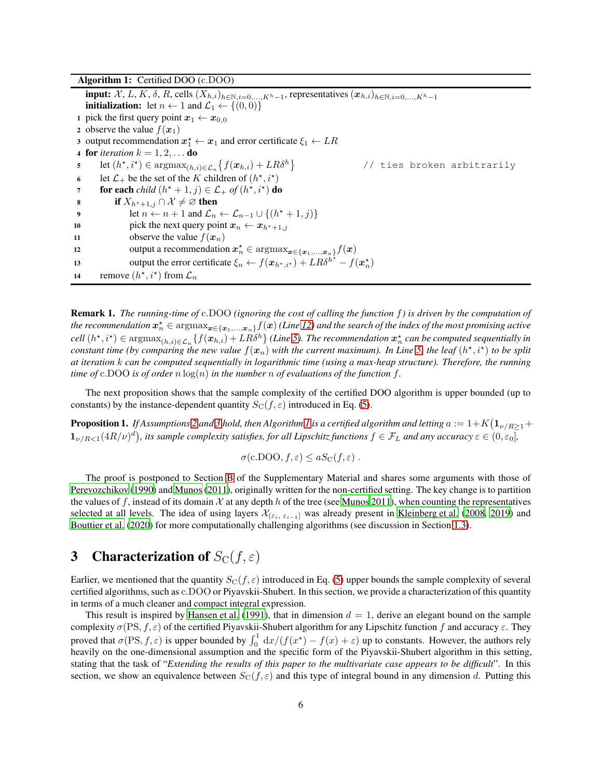<span id="page-5-11"></span><span id="page-5-3"></span><span id="page-5-2"></span>

| <b>Algorithm 1:</b> Certified DOO $(c.DOO)$                                                                                                                      |
|------------------------------------------------------------------------------------------------------------------------------------------------------------------|
| <b>input:</b> $\mathcal{X}, L, K, \delta, R$ , cells $(X_{h,i})_{h \in \mathbb{N}, i=0,,K^{h}-1}$ , representatives $(x_{h,i})_{h \in \mathbb{N}, i=0,,K^{h}-1}$ |
| <b>initialization:</b> let $n \leftarrow 1$ and $\mathcal{L}_1 \leftarrow \{(0,0)\}\$                                                                            |
| 1 pick the first query point $x_1 \leftarrow x_{0,0}$                                                                                                            |
| 2 observe the value $f(\boldsymbol{x}_1)$                                                                                                                        |
| 3 output recommendation $x_1^* \leftarrow x_1$ and error certificate $\xi_1 \leftarrow LR$                                                                       |
| 4 for <i>iteration</i> $k = 1, 2, \dots$ do                                                                                                                      |
| let $(h^*, i^*) \in \operatorname{argmax}_{(h,i) \in \mathcal{L}_n} \{f(\boldsymbol{x}_{h,i}) + LR\delta^h\}$<br>// ties broken arbitrarily                      |
| let $\mathcal{L}_+$ be the set of the K children of $(h^*, i^*)$<br>6                                                                                            |
| for each <i>child</i> $(h^* + 1, j) \in \mathcal{L}_+$ <i>of</i> $(h^*, i^*)$ do<br>$7\overline{ }$                                                              |
| if $X_{h^*+1,j} \cap \mathcal{X} \neq \emptyset$ then                                                                                                            |
| let $n \leftarrow n+1$ and $\mathcal{L}_n \leftarrow \mathcal{L}_{n-1} \cup \{(h^*+1,j)\}\$                                                                      |
| pick the next query point $x_n \leftarrow x_{h^*+1,i}$                                                                                                           |
| observe the value $f(\boldsymbol{x}_n)$                                                                                                                          |
| output a recommendation $x_n^* \in \text{argmax}_{x \in \{x_1,\ldots,x_n\}} f(x)$                                                                                |
| output the error certificate $\xi_n \leftarrow f(\mathbf{x}_{h^*,i^*}) + LR\delta^{h^*} - f(\mathbf{x}_n^*)$                                                     |
| remove $(h^*, i^*)$ from $\mathcal{L}_n$                                                                                                                         |
| 5<br>8<br>13<br>14                                                                                                                                               |

<span id="page-5-9"></span><span id="page-5-8"></span><span id="page-5-7"></span><span id="page-5-6"></span><span id="page-5-5"></span><span id="page-5-4"></span><span id="page-5-0"></span>Remark 1. *The running-time of* c.DOO *(ignoring the cost of calling the function* f*) is driven by the computation of* the recommendation  $x_n^\star\in\mathop{\rm argmax}_{x\in\{x_1,...,x_n\}}f(x)$  *(Line [12\)](#page-5-6) and the search of the index of the most promising active*  $cell(h^\star, i^\star) \in \text{argmax}_{(h,i) \in \mathcal{L}_n} \{f(\bm{x}_{h,i}) + LR\delta^h\}$  (Line [5\)](#page-5-2). The recommendation  $\bm{x}_n^\star$  can be computed sequentially in constant time (by comparing the new value  $f(x_n)$  with the current maximum). In Line [5,](#page-5-2) the leaf  $(h^\star,i^\star)$  to be split *at iteration* k *can be computed sequentially in logarithmic time (using a max-heap structure). Therefore, the running time of* c.DOO *is of order*  $n \log(n)$  *in the number*  $n$  *of evaluations of the function*  $f$ *.* 

<span id="page-5-10"></span>The next proposition shows that the sample complexity of the certified DOO algorithm is upper bounded (up to constants) by the instance-dependent quantity  $S_{\rm C}(f, \varepsilon)$  introduced in Eq. [\(5\)](#page-2-0).

**Proposition [1](#page-5-0).** If Assumptions [2](#page-4-2) and [3](#page-4-3) hold, then Algorithm 1 is a certified algorithm and letting  $a:=1+K\big(\mathbf{1}_{\nu/R\geq 1}+$  $1_{\nu/R<1}(4R/\nu)^d$ ), its sample complexity satisfies, for all Lipschitz functions  $f\in\mathcal{F}_L$  and any accuracy  $\varepsilon\in(0,\varepsilon_0]$ ,

$$
\sigma(\mathbf{c}.\mathbf{DOO}, f, \varepsilon) \leq aS_{\mathbf{C}}(f, \varepsilon) .
$$

The proof is postponed to Section [B](#page-12-0) of the Supplementary Material and shares some arguments with those of [Perevozchikov \(1990\)](#page-10-4) and [Munos \(2011\)](#page-10-5), originally written for the non-certified setting. The key change is to partition the values of f, instead of its domain  $\mathcal X$  at any depth h of the tree (see [Munos 2011\)](#page-10-5), when counting the representatives selected at all levels. The idea of using layers  $\mathcal{X}_{(\varepsilon_i, \varepsilon_{i-1}]}$  was already present in [Kleinberg et al. \(2008,](#page-10-12) [2019\)](#page-10-6) and [Bouttier et al. \(2020\)](#page-9-3) for more computationally challenging algorithms (see discussion in Section [1.3\)](#page-2-2).

# <span id="page-5-1"></span>3 Characterization of  $S_{\text{C}}(f, \varepsilon)$

Earlier, we mentioned that the quantity  $S_{\text{C}}(f,\varepsilon)$  introduced in Eq. [\(5\)](#page-2-0) upper bounds the sample complexity of several certified algorithms, such as c.DOO or Piyavskii-Shubert. In this section, we provide a characterization of this quantity in terms of a much cleaner and compact integral expression.

This result is inspired by [Hansen et al. \(1991\)](#page-10-0), that in dimension  $d = 1$ , derive an elegant bound on the sample complexity  $\sigma(PS, f, \varepsilon)$  of the certified Piyavskii-Shubert algorithm for any Lipschitz function f and accuracy  $\varepsilon$ . They proved that  $\sigma(PS, f, \varepsilon)$  is upper bounded by  $\int_0^1 dx/(f(x^*) - f(x) + \varepsilon)$  up to constants. However, the authors rely heavily on the one-dimensional assumption and the specific form of the Piyavskii-Shubert algorithm in this setting, stating that the task of "*Extending the results of this paper to the multivariate case appears to be difficult*". In this section, we show an equivalence between  $S_{\text{C}}(f, \varepsilon)$  and this type of integral bound in any dimension d. Putting this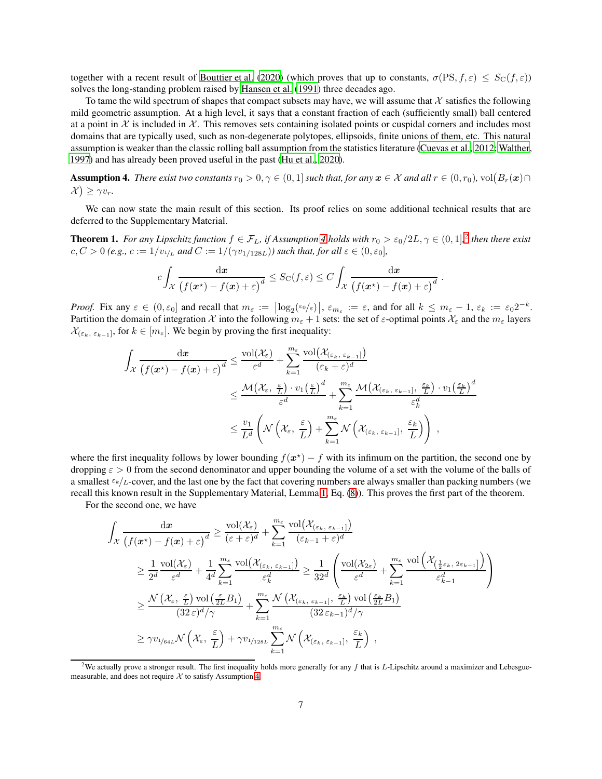together with a recent result of [Bouttier et al. \(2020\)](#page-9-3) (which proves that up to constants,  $\sigma(\text{PS}, f, \varepsilon) \leq S_{\text{C}}(f, \varepsilon)$ ) solves the long-standing problem raised by [Hansen et al. \(1991](#page-10-0)) three decades ago.

To tame the wild spectrum of shapes that compact subsets may have, we will assume that X satisfies the following mild geometric assumption. At a high level, it says that a constant fraction of each (sufficiently small) ball centered at a point in  $X$  is included in  $X$ . This removes sets containing isolated points or cuspidal corners and includes most domains that are typically used, such as non-degenerate polytopes, ellipsoids, finite unions of them, etc. This natural assumption is weaker than the classic rolling ball assumption from the statistics literature [\(Cuevas et al.](#page-9-7), [2012;](#page-9-7) [Walther,](#page-10-16) [1997](#page-10-16)) and has already been proved useful in the past [\(Hu et al.](#page-10-17), [2020](#page-10-17)).

<span id="page-6-0"></span>**Assumption 4.** There exist two constants  $r_0 > 0, \gamma \in (0,1]$  such that, for any  $x \in \mathcal{X}$  and all  $r \in (0,r_0)$ ,  $vol(B_r(x) \cap$  $\mathcal{X}$ )  $\geq \gamma v_r$ .

<span id="page-6-2"></span>We can now state the main result of this section. Its proof relies on some additional technical results that are deferred to the Supplementary Material.

**Theorem 1.** For any Lipschitz function  $f \in \mathcal{F}_L$ , if Assumption [4](#page-6-0) holds with  $r_0 > \varepsilon_0/2L$  $r_0 > \varepsilon_0/2L$  $r_0 > \varepsilon_0/2L$ ,  $\gamma \in (0,1]$ , then there exist  $c, C > 0$  (e.g.,  $c := 1/v_{1/L}$  and  $C := 1/(\gamma v_{1/128L})$ ) such that, for all  $\varepsilon \in (0, \varepsilon_0]$ ,

$$
c\int_{\mathcal{X}}\frac{\mathrm{d}x}{\left(f(\mathbf{x}^*)-f(\mathbf{x})+\varepsilon\right)^d}\leq S_{\mathrm{C}}(f,\varepsilon)\leq C\int_{\mathcal{X}}\frac{\mathrm{d}x}{\left(f(\mathbf{x}^*)-f(\mathbf{x})+\varepsilon\right)^d}.
$$

*Proof.* Fix any  $\varepsilon \in (0, \varepsilon_0]$  and recall that  $m_{\varepsilon} := \left[\log_2(\varepsilon_0/\varepsilon)\right], \varepsilon_{m_{\varepsilon}} := \varepsilon$ , and for all  $k \le m_{\varepsilon} - 1, \varepsilon_k := \varepsilon_0 2^{-k}$ . Partition the domain of integration X into the following  $m_\varepsilon + 1$  sets: the set of  $\varepsilon$ -optimal points  $\mathcal{X}_\varepsilon$  and the  $m_\varepsilon$  layers  $\mathcal{X}_{(\varepsilon_k, \varepsilon_{k-1}]},$  for  $k \in [m_{\varepsilon}]$ . We begin by proving the first inequality:

$$
\int_{\mathcal{X}} \frac{dx}{\left(f(x^*) - f(x) + \varepsilon\right)^d} \leq \frac{\text{vol}(\mathcal{X}_{\varepsilon})}{\varepsilon^d} + \sum_{k=1}^{m_{\varepsilon}} \frac{\text{vol}(\mathcal{X}_{(\varepsilon_k, \varepsilon_{k-1}])}}{(\varepsilon_k + \varepsilon)^d}
$$
\n
$$
\leq \frac{\mathcal{M}(\mathcal{X}_{\varepsilon}, \frac{\varepsilon}{L}) \cdot v_1\left(\frac{\varepsilon}{L}\right)^d}{\varepsilon^d} + \sum_{k=1}^{m_{\varepsilon}} \frac{\mathcal{M}(\mathcal{X}_{(\varepsilon_k, \varepsilon_{k-1}]}, \frac{\varepsilon_k}{L}) \cdot v_1\left(\frac{\varepsilon_k}{L}\right)^d}{\varepsilon_k^d}
$$
\n
$$
\leq \frac{v_1}{L^d} \left(\mathcal{N}\left(\mathcal{X}_{\varepsilon}, \frac{\varepsilon}{L}\right) + \sum_{k=1}^{m_{\varepsilon}} \mathcal{N}\left(\mathcal{X}_{(\varepsilon_k, \varepsilon_{k-1}]}, \frac{\varepsilon_k}{L}\right)\right),
$$

where the first inequality follows by lower bounding  $f(x^*) - f$  with its infimum on the partition, the second one by dropping  $\varepsilon > 0$  from the second denominator and upper bounding the volume of a set with the volume of the balls of a smallest  $\epsilon_k/L$ -cover, and the last one by the fact that covering numbers are always smaller than packing numbers (we recall this known result in the Supplementary Material, Lemma [1,](#page-11-1) Eq. [\(8\)](#page-11-2)). This proves the first part of the theorem.

For the second one, we have

$$
\int_{\mathcal{X}} \frac{dx}{\left(f(x^*) - f(x) + \varepsilon\right)^d} \ge \frac{\text{vol}(\mathcal{X}_{\varepsilon})}{\left(\varepsilon + \varepsilon\right)^d} + \sum_{k=1}^{m_{\varepsilon}} \frac{\text{vol}(\mathcal{X}_{\{\varepsilon_k, \varepsilon_{k-1}\}})}{\left(\varepsilon_{k-1} + \varepsilon\right)^d}
$$
\n
$$
\ge \frac{1}{2^d} \frac{\text{vol}(\mathcal{X}_{\varepsilon})}{\varepsilon^d} + \frac{1}{4^d} \sum_{k=1}^{m_{\varepsilon}} \frac{\text{vol}(\mathcal{X}_{\{\varepsilon_k, \varepsilon_{k-1}\}})}{\varepsilon_k^d} \ge \frac{1}{32^d} \left(\frac{\text{vol}(\mathcal{X}_{2\varepsilon})}{\varepsilon^d} + \sum_{k=1}^{m_{\varepsilon}} \frac{\text{vol}(\mathcal{X}_{\{\frac{1}{2}\varepsilon_k, 2\varepsilon_{k-1}\}})}{\varepsilon_{k-1}^d}\right)
$$
\n
$$
\ge \frac{\mathcal{N}\left(\mathcal{X}_{\varepsilon}, \frac{\varepsilon}{L}\right) \text{vol}\left(\frac{\varepsilon}{2L}B_1\right)}{(32\varepsilon)^d/\gamma} + \sum_{k=1}^{m_{\varepsilon}} \frac{\mathcal{N}\left(\mathcal{X}_{\{\varepsilon_k, \varepsilon_{k-1}\}}, \frac{\varepsilon_k}{L}\right) \text{vol}\left(\frac{\varepsilon_k}{2L}B_1\right)}{(32\varepsilon_{k-1})^d/\gamma}
$$
\n
$$
\ge \gamma v_{1/64L} \mathcal{N}\left(\mathcal{X}_{\varepsilon}, \frac{\varepsilon}{L}\right) + \gamma v_{1/128L} \sum_{k=1}^{m_{\varepsilon}} \mathcal{N}\left(\mathcal{X}_{\{\varepsilon_k, \varepsilon_{k-1}\}}, \frac{\varepsilon_k}{L}\right) ,
$$

<span id="page-6-1"></span><sup>&</sup>lt;sup>2</sup>We actually prove a stronger result. The first inequality holds more generally for any f that is L-Lipschitz around a maximizer and Lebesguemeasurable, and does not require  $X$  to satisfy Assumption [4.](#page-6-0)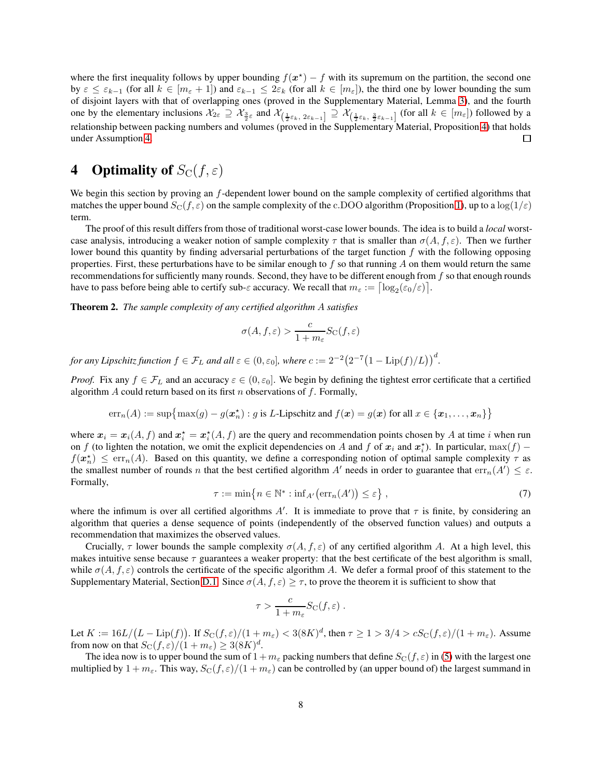where the first inequality follows by upper bounding  $f(x^*) - f$  with its supremum on the partition, the second one by  $\varepsilon \leq \varepsilon_{k-1}$  (for all  $k \in [m_{\varepsilon} + 1]$ ) and  $\varepsilon_{k-1} \leq 2\varepsilon_k$  (for all  $k \in [m_{\varepsilon}]$ ), the third one by lower bounding the sum of disjoint layers with that of overlapping ones (proved in the Supplementary Material, Lemma [3\)](#page-14-0), and the fourth one by the elementary inclusions  $\mathcal{X}_{2\varepsilon} \supseteq \mathcal{X}_{\frac{3}{2}\varepsilon}$  and  $\mathcal{X}_{\left(\frac{1}{2}\varepsilon_k,\ 2\varepsilon_{k-1}\right]} \supseteq \mathcal{X}_{\left(\frac{1}{2}\varepsilon_k,\ \frac{3}{2}\varepsilon_{k-1}\right]}$  (for all  $k \in [m_{\varepsilon}]$ ) followed by a relationship between packing numbers and volumes (proved in the Supplementary Material, Proposition [4\)](#page-14-1) that holds under Assumption [4.](#page-6-0)  $\Box$ 

# <span id="page-7-0"></span>4 **Optimality of**  $S_{\text{C}}(f, \varepsilon)$

We begin this section by proving an f-dependent lower bound on the sample complexity of certified algorithms that matches the upper bound  $S_C(f, \varepsilon)$  on the sample complexity of the c.DOO algorithm (Proposition [1\)](#page-5-10), up to a  $\log(1/\varepsilon)$ term.

The proof of this result differs from those of traditional worst-case lower bounds. The idea is to build a *local* worstcase analysis, introducing a weaker notion of sample complexity  $\tau$  that is smaller than  $\sigma(A, f, \varepsilon)$ . Then we further lower bound this quantity by finding adversarial perturbations of the target function  $f$  with the following opposing properties. First, these perturbations have to be similar enough to  $f$  so that running  $A$  on them would return the same recommendations for sufficiently many rounds. Second, they have to be different enough from  $f$  so that enough rounds have to pass before being able to certify sub- $\varepsilon$  accuracy. We recall that  $m_{\varepsilon} := \left\lceil \log_2(\varepsilon_0/\varepsilon) \right\rceil$ .

<span id="page-7-1"></span>Theorem 2. *The sample complexity of any certified algorithm* A *satisfies*

$$
\sigma(A, f, \varepsilon) > \frac{c}{1 + m_{\varepsilon}} S_{\text{C}}(f, \varepsilon)
$$

for any Lipschitz function  $f \in \mathcal{F}_L$  and all  $\varepsilon \in (0,\varepsilon_0]$ , where  $c:=2^{-2}\big(2^{-7}\big(1-\text{Lip}(f)/L\big)\big)^d$ .

*Proof.* Fix any  $f \in \mathcal{F}_L$  and an accuracy  $\varepsilon \in (0, \varepsilon_0]$ . We begin by defining the tightest error certificate that a certified algorithm A could return based on its first n observations of f. Formally,

$$
err_n(A) := \sup \{ \max(g) - g(\mathbf{x}_n^*) : g \text{ is } L\text{-Lipschitz and } f(\mathbf{x}) = g(\mathbf{x}) \text{ for all } \mathbf{x} \in \{ \mathbf{x}_1, \dots, \mathbf{x}_n \} \}
$$

where  $x_i = x_i(A, f)$  and  $x_i^* = x_i^*(A, f)$  are the query and recommendation points chosen by A at time i when run on f (to lighten the notation, we omit the explicit dependencies on A and f of  $x_i$  and  $x_i^*$ ). In particular,  $\max(f)$  –  $f(\boldsymbol{x}_n^{\star}) \le \text{err}_n(A)$ . Based on this quantity, we define a corresponding notion of optimal sample complexity  $\tau$  as the smallest number of rounds n that the best certified algorithm A' needs in order to guarantee that  $err_n(A') \leq \varepsilon$ . Formally,

$$
\tau := \min\left\{ n \in \mathbb{N}^* : \inf_{A'} \bigl( \text{err}_n(A') \bigr) \le \varepsilon \right\},\tag{7}
$$

<span id="page-7-2"></span>where the infimum is over all certified algorithms  $A'$ . It is immediate to prove that  $\tau$  is finite, by considering an algorithm that queries a dense sequence of points (independently of the observed function values) and outputs a recommendation that maximizes the observed values.

Crucially,  $\tau$  lower bounds the sample complexity  $\sigma(A, f, \varepsilon)$  of any certified algorithm A. At a high level, this makes intuitive sense because  $\tau$  guarantees a weaker property: that the best certificate of the best algorithm is small, while  $\sigma(A, f, \varepsilon)$  controls the certificate of the specific algorithm A. We defer a formal proof of this statement to the Supplementary Material, Section [D.1.](#page-15-1) Since  $\sigma(A, f, \varepsilon) \geq \tau$ , to prove the theorem it is sufficient to show that

$$
\tau > \frac{c}{1+m_{\varepsilon}}S_{\mathrm{C}}(f,\varepsilon) .
$$

Let  $K := 16L/(L - \text{Lip}(f))$ . If  $S_{\text{C}}(f, \varepsilon)/(1 + m_{\varepsilon}) < 3(8K)^d$ , then  $\tau \ge 1 > 3/4 > cS_{\text{C}}(f, \varepsilon)/(1 + m_{\varepsilon})$ . Assume from now on that  $S_{\rm C}(f,\varepsilon)/(1+m_{\varepsilon}) \geq 3(8K)^d$ .

The idea now is to upper bound the sum of  $1 + m_\varepsilon$  packing numbers that define  $S_{\rm C}(f, \varepsilon)$  in [\(5\)](#page-2-0) with the largest one multiplied by  $1 + m_{\varepsilon}$ . This way,  $S_{\rm C}(f, \varepsilon)/(1 + m_{\varepsilon})$  can be controlled by (an upper bound of) the largest summand in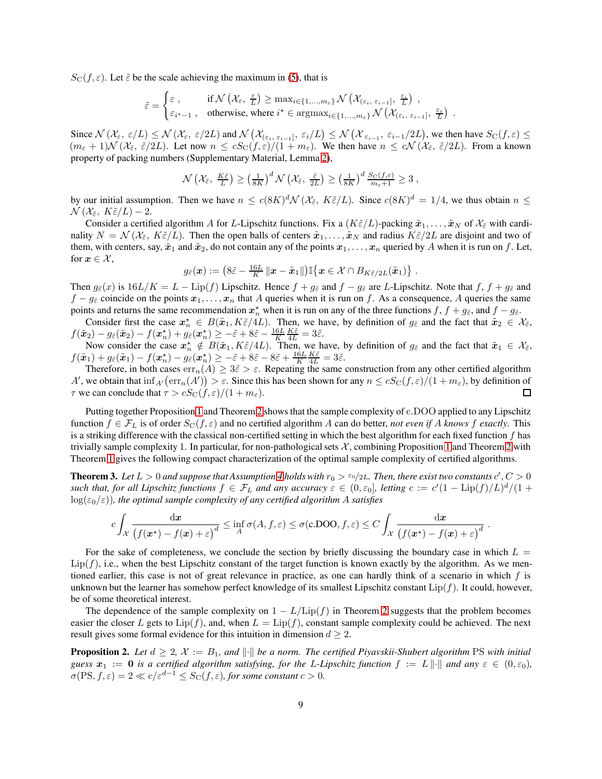$S_{\text{C}}(f, \varepsilon)$ . Let  $\tilde{\varepsilon}$  be the scale achieving the maximum in [\(5\)](#page-2-0), that is

$$
\tilde{\varepsilon} = \begin{cases} \varepsilon\;, & \text{if } \mathcal{N}\left(\mathcal{X}_{\varepsilon}, \ \frac{\varepsilon}{L}\right) \geq \max_{i \in \{1, \dots, m_\varepsilon\}} \mathcal{N}\left(\mathcal{X}_{(\varepsilon_i,\ \varepsilon_{i-1}]}, \ \frac{\varepsilon_i}{L}\right)\;, \\ \varepsilon_{i^\star - 1}\;, & \text{otherwise, where } i^\star \in \text{argmax}_{i \in \{1, \dots, m_\varepsilon\}} \mathcal{N}\left(\mathcal{X}_{(\varepsilon_i,\ \varepsilon_{i-1}]}, \ \frac{\varepsilon_i}{L}\right)\;. \end{cases}
$$

Since  $\mathcal{N}(\mathcal{X}_{\varepsilon}, \varepsilon/L) \leq \mathcal{N}(\mathcal{X}_{\varepsilon}, \varepsilon/2L)$  and  $\mathcal{N}(\mathcal{X}_{(\varepsilon_i, \varepsilon_{i-1}]}, \varepsilon_i/L) \leq \mathcal{N}(\mathcal{X}_{\varepsilon_{i-1}}, \varepsilon_{i-1}/2L)$ , we then have  $S_{\text{C}}(f, \varepsilon) \leq$  $(m_{\varepsilon} + 1)\mathcal{N}(\mathcal{X}_{\tilde{\varepsilon}}, \tilde{\varepsilon}/2L)$ . Let now  $n \leq cS_{\mathcal{C}}(f, \varepsilon)/(1 + m_{\varepsilon})$ . We then have  $n \leq c\mathcal{N}(\mathcal{X}_{\tilde{\varepsilon}}, \tilde{\varepsilon}/2L)$ . From a known property of packing numbers (Supplementary Material, Lemma [2\)](#page-11-3),

$$
\mathcal{N}\left(\mathcal{X}_{\tilde{\varepsilon}}, \frac{K\tilde{\varepsilon}}{L}\right) \geq \left(\frac{1}{8K}\right)^d \mathcal{N}\left(\mathcal{X}_{\tilde{\varepsilon}}, \frac{\tilde{\varepsilon}}{2L}\right) \geq \left(\frac{1}{8K}\right)^d \frac{S_C(f, \varepsilon)}{m_{\varepsilon}+1} \geq 3,
$$

by our initial assumption. Then we have  $n \le c(8K)^d \mathcal{N}(\mathcal{X}_{\tilde{\varepsilon}}, K\tilde{\varepsilon}/L)$ . Since  $c(8K)^d = 1/4$ , we thus obtain  $n \le$  $\mathcal{N}(\mathcal{X}_{\tilde{\varepsilon}}, K\tilde{\varepsilon}/L) - 2.$ 

Consider a certified algorithm A for L-Lipschitz functions. Fix a  $(K\tilde{\varepsilon}/L)$ -packing  $\tilde{x}_1,\ldots,\tilde{x}_N$  of  $\mathcal{X}_{\tilde{\varepsilon}}$  with cardinality  $N = \mathcal{N}(\mathcal{X}_{\tilde{\varepsilon}}, K\tilde{\varepsilon}/L)$ . Then the open balls of centers  $\tilde{x}_1, \ldots, \tilde{x}_N$  and radius  $K\tilde{\varepsilon}/2L$  are disjoint and two of them, with centers, say,  $\tilde{x}_1$  and  $\tilde{x}_2$ , do not contain any of the points  $x_1, \ldots, x_n$  queried by A when it is run on f. Let, for  $x \in \mathcal{X}$ ,

$$
g_{\tilde{\varepsilon}}(\boldsymbol{x}):=\left(8\tilde{\varepsilon}-\frac{16L}{K}\left\Vert \boldsymbol{x}-\tilde{\boldsymbol{x}}_1\right\Vert\right)\mathbb{I}\big\{\boldsymbol{x}\in\mathcal{X}\cap B_{K\tilde{\varepsilon}/2L}(\tilde{\boldsymbol{x}}_1)\big\}\ .
$$

Then  $g_{\tilde{\varepsilon}}(x)$  is  $16L/K = L - \text{Lip}(f)$  Lipschitz. Hence  $f + g_{\tilde{\varepsilon}}$  and  $f - g_{\tilde{\varepsilon}}$  are L-Lipschitz. Note that  $f, f + g_{\tilde{\varepsilon}}$  and  $f - g_{\varepsilon}$  coincide on the points  $x_1, \ldots, x_n$  that A queries when it is run on f. As a consequence, A queries the same points and returns the same recommendation  $x_n^*$  when it is run on any of the three functions  $f, f + g_{\tilde{\varepsilon}}$ , and  $f - g_{\tilde{\varepsilon}}$ .

Consider first the case  $x_n^* \in B(\tilde{x}_1, K\tilde{\varepsilon}/4L)$ . Then, we have, by definition of  $g_{\tilde{\varepsilon}}$  and the fact that  $\tilde{x}_2 \in \mathcal{X}_{\tilde{\varepsilon}}$ ,  $f(\tilde{\bm{x}}_2) - g_{\tilde{\varepsilon}}(\tilde{\bm{x}}_2) - f(\bm{x}_n^\star) + g_{\tilde{\varepsilon}}(\bm{x}_n^\star) \geq -\tilde{\varepsilon} + 8\tilde{\varepsilon} - \frac{16L}{K} \frac{K \tilde{\varepsilon}}{4L} = 3\tilde{\varepsilon}.$ 

Now consider the case  $x_n^* \notin B(\tilde{x}_1, K\tilde{\varepsilon}/4L)$ . Then, we have, by definition of  $g_{\tilde{\varepsilon}}$  and the fact that  $\tilde{x}_1 \in \mathcal{X}_{\tilde{\varepsilon}}$ ,  $f(\tilde{\boldsymbol{x}}_1) + g_{\tilde{\varepsilon}}(\tilde{\boldsymbol{x}}_1) - f(\boldsymbol{x}_n^\star) - g_{\tilde{\varepsilon}}(\boldsymbol{x}_n^\star) \geq -\tilde{\varepsilon} + 8\tilde{\varepsilon} - 8\tilde{\varepsilon} + \frac{16L}{K} \frac{K\tilde{\varepsilon}}{4L} = 3\tilde{\varepsilon}.$ 

Therefore, in both cases  $err_n(A) \geq 3\tilde{\varepsilon} > \varepsilon$ . Repeating the same construction from any other certified algorithm A', we obtain that  $\inf_{A'}(\text{err}_n(A')) > \varepsilon$ . Since this has been shown for any  $n \leq cS_{\text{C}}(f, \varepsilon)/(1 + m_{\varepsilon})$ , by definition of  $\tau$  we can conclude that  $\tau > cS_{\rm C}(f, \varepsilon)/(1 + m_{\varepsilon}).$ □

Putting together Proposition [1](#page-5-10) and Theorem [2](#page-7-1) shows that the sample complexity of c.DOO applied to any Lipschitz function  $f \in \mathcal{F}_L$  is of order  $S_{\mathcal{C}}(f, \varepsilon)$  and no certified algorithm A can do better, *not even if* A knows f exactly. This is a striking difference with the classical non-certified setting in which the best algorithm for each fixed function  $f$  has trivially sample complexity [1](#page-5-10). In particular, for non-pathological sets  $\mathcal{X}$ , combining Proposition 1 and Theorem [2](#page-7-1) with Theorem [1](#page-6-2) gives the following compact characterization of the optimal sample complexity of certified algorithms.

<span id="page-8-0"></span>**Theorem 3.** Let  $L>0$  and suppose that Assumption [4](#page-6-0) holds with  $r_0 > \epsilon_0/2L$ . Then, there exist two constants  $c', C>0$ such that, for all Lipschitz functions  $f \in \mathcal{F}_L$  and any accuracy  $\varepsilon \in (0,\varepsilon_0]$ , letting  $c := c'(1 - \text{Lip}(f)/L)^d/(1+\varepsilon_0)$  $log(\epsilon_0/\epsilon)$ *), the optimal sample complexity of any certified algorithm A satisfies* 

$$
c \int_{\mathcal{X}} \frac{\mathrm{d}x}{\left(f(x^*) - f(x) + \varepsilon\right)^d} \le \inf_{A} \sigma(A, f, \varepsilon) \le \sigma(c.\text{DOO}, f, \varepsilon) \le C \int_{\mathcal{X}} \frac{\mathrm{d}x}{\left(f(x^*) - f(x) + \varepsilon\right)^d}
$$

.

For the sake of completeness, we conclude the section by briefly discussing the boundary case in which  $L =$  $Lip(f)$ , i.e., when the best Lipschitz constant of the target function is known exactly by the algorithm. As we mentioned earlier, this case is not of great relevance in practice, as one can hardly think of a scenario in which f is unknown but the learner has somehow perfect knowledge of its smallest Lipschitz constant  $Lip(f)$ . It could, however, be of some theoretical interest.

The dependence of the sample complexity on  $1 - L/\text{Lip}(f)$  in Theorem [2](#page-7-1) suggests that the problem becomes easier the closer L gets to  $\text{Lip}(f)$ , and, when  $L = \text{Lip}(f)$ , constant sample complexity could be achieved. The next result gives some formal evidence for this intuition in dimension  $d \geq 2$ .

<span id="page-8-1"></span>**Proposition 2.** Let  $d \geq 2$ ,  $\mathcal{X} := B_1$ , and  $\|\cdot\|$  be a norm. The certified Piyavskii-Shubert algorithm PS with initial *guess*  $x_1 := 0$  *is a certified algorithm satisfying, for the L-Lipschitz function*  $f := L \|\cdot\|$  *and any*  $\varepsilon \in (0, \varepsilon_0)$ *,*  $\sigma(\text{PS}, f, \varepsilon) = 2 \ll c/\varepsilon^{d-1} \leq S_{\text{C}}(f, \varepsilon)$ *, for some constant*  $c > 0$ *.*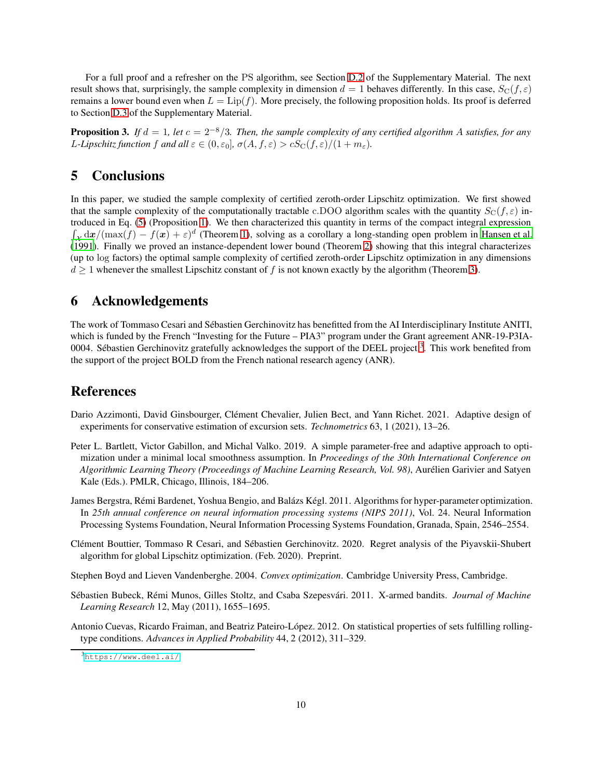For a full proof and a refresher on the PS algorithm, see Section [D.2](#page-15-0) of the Supplementary Material. The next result shows that, surprisingly, the sample complexity in dimension  $d = 1$  behaves differently. In this case,  $S_{\rm C}(f, \varepsilon)$ remains a lower bound even when  $L = \text{Lip}(f)$ . More precisely, the following proposition holds. Its proof is deferred to Section [D.3](#page-15-2) of the Supplementary Material.

<span id="page-9-2"></span>**Proposition 3.** *If*  $d = 1$ *, let*  $c = 2^{-8}/3$ *. Then, the sample complexity of any certified algorithm A satisfies, for any L*-Lipschitz function f and all  $\varepsilon \in (0, \varepsilon_0]$ ,  $\sigma(A, f, \varepsilon) > cS_{\rm C}(f, \varepsilon)/(1 + m_{\varepsilon})$ .

# 5 Conclusions

In this paper, we studied the sample complexity of certified zeroth-order Lipschitz optimization. We first showed that the sample complexity of the computationally tractable c.DOO algorithm scales with the quantity  $S_{\text{C}}(f, \varepsilon)$  introduced in Eq. [\(5\)](#page-2-0) (Proposition [1\)](#page-5-10). We then characterized this quantity in terms of the compact integral expression  $\int_{\mathcal{X}} d\mathbf{x} / (\max(\mathbf{f}) - \mathbf{f}(\mathbf{x}) + \varepsilon)^d$  (Theorem [1\)](#page-6-2), solving as a corollary a long-standing open problem in [Hansen et al.](#page-10-0) [\(1991\)](#page-10-0). Finally we proved an instance-dependent lower bound (Theorem [2\)](#page-7-1) showing that this integral characterizes (up to log factors) the optimal sample complexity of certified zeroth-order Lipschitz optimization in any dimensions  $d \geq 1$  whenever the smallest Lipschitz constant of f is not known exactly by the algorithm (Theorem [3\)](#page-8-0).

## 6 Acknowledgements

The work of Tommaso Cesari and Sébastien Gerchinovitz has benefitted from the AI Interdisciplinary Institute ANITI, which is funded by the French "Investing for the Future – PIA3" program under the Grant agreement ANR-19-P3IA-0004. Sébastien Gerchinovitz gratefully acknowledges the support of the DEEL project.<sup>[3](#page-9-8)</sup>. This work benefited from the support of the project BOLD from the French national research agency (ANR).

## References

- <span id="page-9-1"></span>Dario Azzimonti, David Ginsbourger, Clément Chevalier, Julien Bect, and Yann Richet. 2021. Adaptive design of experiments for conservative estimation of excursion sets. *Technometrics* 63, 1 (2021), 13–26.
- <span id="page-9-5"></span>Peter L. Bartlett, Victor Gabillon, and Michal Valko. 2019. A simple parameter-free and adaptive approach to optimization under a minimal local smoothness assumption. In *Proceedings of the 30th International Conference on Algorithmic Learning Theory (Proceedings of Machine Learning Research, Vol. 98)*, Aurélien Garivier and Satyen Kale (Eds.). PMLR, Chicago, Illinois, 184–206.
- <span id="page-9-0"></span>James Bergstra, Rémi Bardenet, Yoshua Bengio, and Balázs Kégl. 2011. Algorithms for hyper-parameter optimization. In *25th annual conference on neural information processing systems (NIPS 2011)*, Vol. 24. Neural Information Processing Systems Foundation, Neural Information Processing Systems Foundation, Granada, Spain, 2546–2554.
- <span id="page-9-3"></span>Clément Bouttier, Tommaso R Cesari, and Sébastien Gerchinovitz. 2020. Regret analysis of the Piyavskii-Shubert algorithm for global Lipschitz optimization. (Feb. 2020). Preprint.
- <span id="page-9-6"></span>Stephen Boyd and Lieven Vandenberghe. 2004. *Convex optimization*. Cambridge University Press, Cambridge.
- <span id="page-9-4"></span>Sébastien Bubeck, Rémi Munos, Gilles Stoltz, and Csaba Szepesvári. 2011. X-armed bandits. *Journal of Machine Learning Research* 12, May (2011), 1655–1695.
- <span id="page-9-7"></span>Antonio Cuevas, Ricardo Fraiman, and Beatriz Pateiro-López. 2012. On statistical properties of sets fulfilling rollingtype conditions. *Advances in Applied Probability* 44, 2 (2012), 311–329.

<span id="page-9-8"></span><sup>3</sup><https://www.deel.ai/>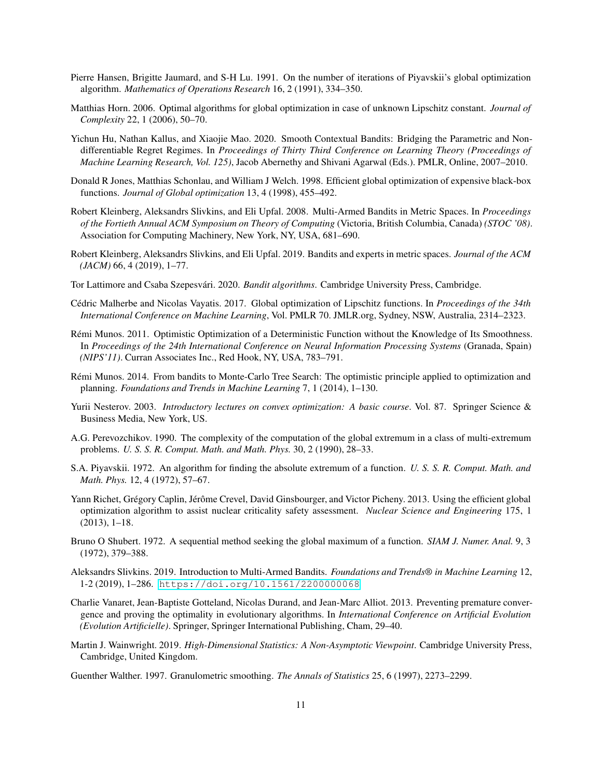- <span id="page-10-0"></span>Pierre Hansen, Brigitte Jaumard, and S-H Lu. 1991. On the number of iterations of Piyavskii's global optimization algorithm. *Mathematics of Operations Research* 16, 2 (1991), 334–350.
- <span id="page-10-14"></span>Matthias Horn. 2006. Optimal algorithms for global optimization in case of unknown Lipschitz constant. *Journal of Complexity* 22, 1 (2006), 50–70.
- <span id="page-10-17"></span>Yichun Hu, Nathan Kallus, and Xiaojie Mao. 2020. Smooth Contextual Bandits: Bridging the Parametric and Nondifferentiable Regret Regimes. In *Proceedings of Thirty Third Conference on Learning Theory (Proceedings of Machine Learning Research, Vol. 125)*, Jacob Abernethy and Shivani Agarwal (Eds.). PMLR, Online, 2007–2010.
- <span id="page-10-1"></span>Donald R Jones, Matthias Schonlau, and William J Welch. 1998. Efficient global optimization of expensive black-box functions. *Journal of Global optimization* 13, 4 (1998), 455–492.
- <span id="page-10-12"></span>Robert Kleinberg, Aleksandrs Slivkins, and Eli Upfal. 2008. Multi-Armed Bandits in Metric Spaces. In *Proceedings of the Fortieth Annual ACM Symposium on Theory of Computing* (Victoria, British Columbia, Canada) *(STOC '08)*. Association for Computing Machinery, New York, NY, USA, 681–690.
- <span id="page-10-6"></span>Robert Kleinberg, Aleksandrs Slivkins, and Eli Upfal. 2019. Bandits and experts in metric spaces. *Journal of the ACM (JACM)* 66, 4 (2019), 1–77.
- <span id="page-10-15"></span>Tor Lattimore and Csaba Szepesvári. 2020. *Bandit algorithms*. Cambridge University Press, Cambridge.
- <span id="page-10-11"></span>Cédric Malherbe and Nicolas Vayatis. 2017. Global optimization of Lipschitz functions. In *Proceedings of the 34th International Conference on Machine Learning*, Vol. PMLR 70. JMLR.org, Sydney, NSW, Australia, 2314–2323.
- <span id="page-10-5"></span>Rémi Munos. 2011. Optimistic Optimization of a Deterministic Function without the Knowledge of Its Smoothness. In *Proceedings of the 24th International Conference on Neural Information Processing Systems* (Granada, Spain) *(NIPS'11)*. Curran Associates Inc., Red Hook, NY, USA, 783–791.
- <span id="page-10-7"></span>Rémi Munos. 2014. From bandits to Monte-Carlo Tree Search: The optimistic principle applied to optimization and planning. *Foundations and Trends in Machine Learning* 7, 1 (2014), 1–130.
- <span id="page-10-10"></span>Yurii Nesterov. 2003. *Introductory lectures on convex optimization: A basic course*. Vol. 87. Springer Science & Business Media, New York, US.
- <span id="page-10-4"></span>A.G. Perevozchikov. 1990. The complexity of the computation of the global extremum in a class of multi-extremum problems. *U. S. S. R. Comput. Math. and Math. Phys.* 30, 2 (1990), 28–33.
- <span id="page-10-8"></span>S.A. Piyavskii. 1972. An algorithm for finding the absolute extremum of a function. *U. S. S. R. Comput. Math. and Math. Phys.* 12, 4 (1972), 57–67.
- <span id="page-10-2"></span>Yann Richet, Grégory Caplin, Jérôme Crevel, David Ginsbourger, and Victor Picheny. 2013. Using the efficient global optimization algorithm to assist nuclear criticality safety assessment. *Nuclear Science and Engineering* 175, 1 (2013), 1–18.
- <span id="page-10-9"></span>Bruno O Shubert. 1972. A sequential method seeking the global maximum of a function. *SIAM J. Numer. Anal.* 9, 3 (1972), 379–388.
- <span id="page-10-13"></span>Aleksandrs Slivkins. 2019. Introduction to Multi-Armed Bandits. *Foundations and Trends® in Machine Learning* 12, 1-2 (2019), 1–286. <https://doi.org/10.1561/2200000068>
- <span id="page-10-3"></span>Charlie Vanaret, Jean-Baptiste Gotteland, Nicolas Durand, and Jean-Marc Alliot. 2013. Preventing premature convergence and proving the optimality in evolutionary algorithms. In *International Conference on Artificial Evolution (Evolution Artificielle)*. Springer, Springer International Publishing, Cham, 29–40.
- <span id="page-10-18"></span>Martin J. Wainwright. 2019. *High-Dimensional Statistics: A Non-Asymptotic Viewpoint*. Cambridge University Press, Cambridge, United Kingdom.
- <span id="page-10-16"></span>Guenther Walther. 1997. Granulometric smoothing. *The Annals of Statistics* 25, 6 (1997), 2273–2299.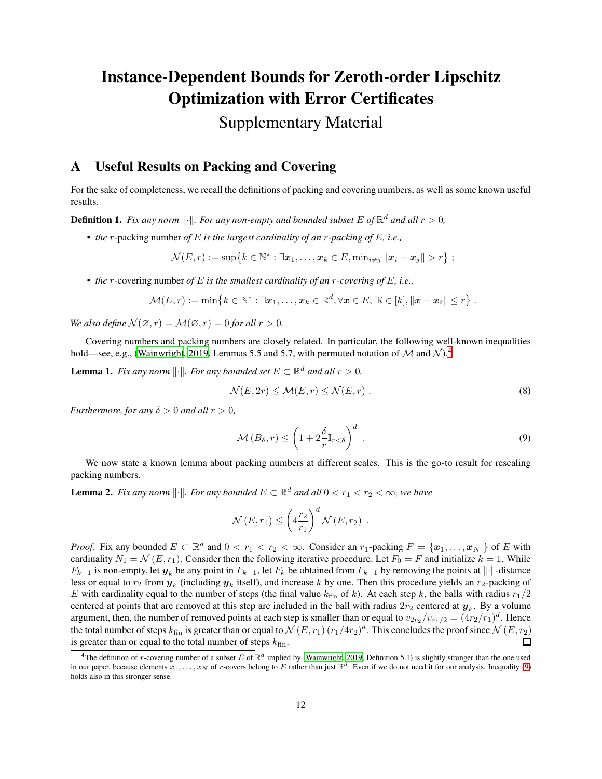# Instance-Dependent Bounds for Zeroth-order Lipschitz Optimization with Error Certificates

# Supplementary Material

# <span id="page-11-0"></span>A Useful Results on Packing and Covering

For the sake of completeness, we recall the definitions of packing and covering numbers, as well as some known useful results.

**Definition 1.** Fix any norm  $\|\cdot\|$ . For any non-empty and bounded subset E of  $\mathbb{R}^d$  and all  $r > 0$ ,

• *the* r*-*packing number *of* E *is the largest cardinality of an* r*-packing of* E*, i.e.,*

$$
\mathcal{N}(E,r) := \sup\{k \in \mathbb{N}^* : \exists \boldsymbol{x}_1,\ldots,\boldsymbol{x}_k \in E, \min_{i \neq j} \|\boldsymbol{x}_i - \boldsymbol{x}_j\| > r\};
$$

• *the* r*-*covering number *of* E *is the smallest cardinality of an* r*-covering of* E*, i.e.,*

$$
\mathcal{M}(E,r) := \min\left\{k \in \mathbb{N}^* : \exists x_1,\ldots,x_k \in \mathbb{R}^d, \forall x \in E, \exists i \in [k], ||x - x_i|| \leq r \right\}.
$$

*We also define*  $\mathcal{N}(\emptyset, r) = \mathcal{M}(\emptyset, r) = 0$  *for all*  $r > 0$ *.* 

<span id="page-11-1"></span>Covering numbers and packing numbers are closely related. In particular, the following well-known inequalities hold—see, e.g., [\(Wainwright, 2019,](#page-10-18) Lemmas 5.5 and 5.7, with permuted notation of M and  $\mathcal{N}$ ).<sup>[4](#page-11-4)</sup>

**Lemma 1.** *Fix any norm*  $\|\cdot\|$ *. For any bounded set*  $E \subset \mathbb{R}^d$  *and all*  $r > 0$ *,* 

<span id="page-11-2"></span>
$$
\mathcal{N}(E, 2r) \le \mathcal{M}(E, r) \le \mathcal{N}(E, r) . \tag{8}
$$

*Furthermore, for any*  $\delta > 0$  *and all*  $r > 0$ *,* 

<span id="page-11-5"></span>
$$
\mathcal{M}\left(B_{\delta},r\right) \leq \left(1 + 2\frac{\delta}{r}\mathbb{I}_{r < \delta}\right)^{d}.
$$
\n(9)

<span id="page-11-3"></span>We now state a known lemma about packing numbers at different scales. This is the go-to result for rescaling packing numbers.

**Lemma 2.** Fix any norm  $\|\cdot\|$ . For any bounded  $E \subset \mathbb{R}^d$  and all  $0 < r_1 < r_2 < \infty$ , we have

$$
\mathcal{N}(E,r_1) \leq \left(4\frac{r_2}{r_1}\right)^d \mathcal{N}(E,r_2) .
$$

*Proof.* Fix any bounded  $E \subset \mathbb{R}^d$  and  $0 < r_1 < r_2 < \infty$ . Consider an  $r_1$ -packing  $F = \{x_1, \ldots, x_{N_1}\}$  of E with cardinality  $N_1 = \mathcal{N}(E, r_1)$ . Consider then the following iterative procedure. Let  $F_0 = F$  and initialize  $k = 1$ . While  $F_{k-1}$  is non-empty, let  $y_k$  be any point in  $F_{k-1}$ , let  $F_k$  be obtained from  $F_{k-1}$  by removing the points at  $\|\cdot\|$ -distance less or equal to  $r_2$  from  $y_k$  (including  $y_k$  itself), and increase k by one. Then this procedure yields an  $r_2$ -packing of E with cardinality equal to the number of steps (the final value  $k_{fin}$  of k). At each step k, the balls with radius  $r_1/2$ centered at points that are removed at this step are included in the ball with radius  $2r_2$  centered at  $y_k$ . By a volume argument, then, the number of removed points at each step is smaller than or equal to  $v_{2r_2}/v_{r_1/2} = (4r_2/r_1)^d$ . Hence the total number of steps  $k_{\rm fin}$  is greater than or equal to  $\mathcal{N}\,(E,r_1)\,(r_1/4r_2)^d.$  This concludes the proof since  $\mathcal{N}\,(E,r_2)$ is greater than or equal to the total number of steps  $k_{fin}$ .  $\Box$ 

<span id="page-11-4"></span><sup>&</sup>lt;sup>4</sup>The definition of r-covering number of a subset E of  $\mathbb{R}^d$  implied by [\(Wainwright](#page-10-18), [2019,](#page-10-18) Definition 5.1) is slightly stronger than the one used in our paper, because elements  $x_1, \ldots, x_N$  of r-covers belong to E rather than just  $\mathbb{R}^d$ . Even if we do not need it for our analysis, Inequality [\(9\)](#page-11-5) holds also in this stronger sense.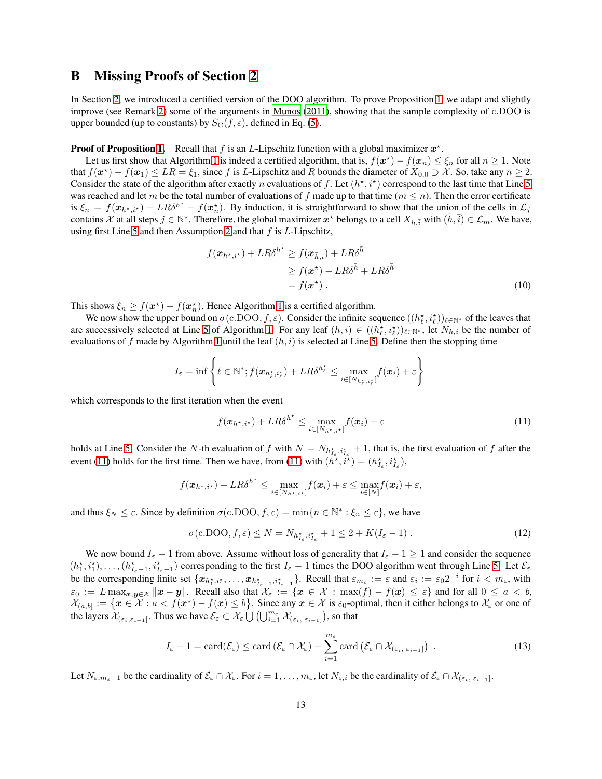## <span id="page-12-0"></span>B Missing Proofs of Section [2](#page-4-0)

In Section [2,](#page-4-0) we introduced a certified version of the DOO algorithm. To prove Proposition [1,](#page-5-10) we adapt and slightly improve (see Remark [2\)](#page-13-0) some of the arguments in [Munos \(2011\)](#page-10-5), showing that the sample complexity of c.DOO is upper bounded (up to constants) by  $S_{\text{C}}(f, \varepsilon)$ , defined in Eq. [\(5\)](#page-2-0).

### **Proof of Proposition [1.](#page-5-10)** Recall that f is an L-Lipschitz function with a global maximizer  $x^*$ .

Let us first show that Algorithm [1](#page-5-0) is indeed a certified algorithm, that is,  $f(x^*) - f(x_n) \leq \xi_n$  for all  $n \geq 1$ . Note that  $f(x^*) - f(x_1) \le LR = \xi_1$ , since f is L-Lipschitz and R bounds the diameter of  $X_{0,0} \supset \mathcal{X}$ . So, take any  $n \ge 2$ . Consider the state of the algorithm after exactly *n* evaluations of f. Let  $(h^*, i^*)$  correspond to the last time that Line [5](#page-5-2) was reached and let m be the total number of evaluations of f made up to that time  $(m \leq n)$ . Then the error certificate is  $\xi_n = f(x_{h^*,i^*}) + LR\delta^{h^*} - f(x_n^*)$ . By induction, it is straightforward to show that the union of the cells in  $\mathcal{L}_j$ contains  $\mathcal X$  at all steps  $j \in \mathbb N^*$ . Therefore, the global maximizer  $x^*$  belongs to a cell  $X_{\bar{h}, \bar{i}}$  with  $(\bar{h}, \bar{i}) \in \mathcal L_m$ . We have, using first Line [5](#page-5-2) and then Assumption [2](#page-4-2) and that  $f$  is  $L$ -Lipschitz,

<span id="page-12-2"></span>
$$
f(\boldsymbol{x}_{h^*,i^*}) + LR\delta^{h^*} \ge f(\boldsymbol{x}_{\bar{h},\bar{i}}) + LR\delta^{\bar{h}}
$$
  
\n
$$
\ge f(\boldsymbol{x}^*) - LR\delta^{\bar{h}} + LR\delta^{\bar{h}}
$$
  
\n
$$
= f(\boldsymbol{x}^*) .
$$
 (10)

This shows  $\xi_n \ge f(\boldsymbol{x}^\star) - f(\boldsymbol{x}_n^\star)$ . Hence Algorithm [1](#page-5-0) is a certified algorithm.

We now show the upper bound on  $\sigma(c.DOO, f, \varepsilon)$ . Consider the infinite sequence  $((h_\ell^*, i_\ell^*))_{\ell \in \mathbb{N}^*}$  of the leaves that are successively selected at Line [5](#page-5-2) of Algorithm [1.](#page-5-0) For any leaf  $(h, i) \in ((h_\ell^*, i_\ell^*))_{\ell \in \mathbb{N}^*}$ , let  $N_{h,i}$  be the number of evaluations of f made by Algorithm [1](#page-5-0) until the leaf  $(h, i)$  is selected at Line [5.](#page-5-2) Define then the stopping time

$$
I_{\varepsilon} = \inf \left\{ \ell \in \mathbb{N}^*; f(\boldsymbol{x}_{h^{\star}_{\ell}, i^{\star}_{\ell}}) + LR\delta^{h^{\star}_{\ell}} \leq \max_{i \in [N_{h^{\star}_{\ell}, i^{\star}_{\ell}}]} f(\boldsymbol{x}_i) + \varepsilon \right\}
$$

which corresponds to the first iteration when the event

<span id="page-12-3"></span><span id="page-12-1"></span>
$$
f(\boldsymbol{x}_{h^{\star},i^{\star}}) + LR\delta^{h^{\star}} \leq \max_{i \in [N_{h^{\star},i^{\star}}]} f(\boldsymbol{x}_i) + \varepsilon
$$
\n(11)

holds at Line [5.](#page-5-2) Consider the N-th evaluation of f with  $N = N_{h_{I_{\varepsilon}}^*, i_{I_{\varepsilon}}^*} + 1$ , that is, the first evaluation of f after the event [\(11\)](#page-12-1) holds for the first time. Then we have, from [\(11\)](#page-12-1) with  $(h^{\star}, i^{\star}) = (h^{\star}_{I_{\epsilon}}, i^{\star}_{I_{\epsilon}})$ ,

$$
f(\boldsymbol{x}_{h^\star,i^\star})+LR\delta^{h^\star}\leq \max_{i\in[N_{h^\star,i^\star}]}f(\boldsymbol{x}_i)+\varepsilon\leq \max_{i\in[N]}f(\boldsymbol{x}_i)+\varepsilon,
$$

and thus  $\xi_N \leq \varepsilon$ . Since by definition  $\sigma(c.DOO, f, \varepsilon) = \min\{n \in \mathbb{N}^* : \xi_n \leq \varepsilon\}$ , we have

<span id="page-12-4"></span>
$$
\sigma(\mathbf{c}.\mathbf{DOO}, f, \varepsilon) \le N = N_{h_{I_{\varepsilon}}^{\star}, i_{I_{\varepsilon}}^{\star}} + 1 \le 2 + K(I_{\varepsilon} - 1). \tag{12}
$$

We now bound  $I_{\varepsilon} - 1$  from above. Assume without loss of generality that  $I_{\varepsilon} - 1 \ge 1$  and consider the sequence  $(h_1^*, i_1^*), \ldots, (h_{I_{\varepsilon}-1}^*, i_{I_{\varepsilon}-1}^*)$  corresponding to the first  $I_{\varepsilon}-1$  times the DOO algorithm went through Line [5.](#page-5-2) Let  $\mathcal{E}_{\varepsilon}$ be the corresponding finite set  $\{x_{h_1^*, i_1^*, \dots, x_{h_{\varepsilon-1}^*, i_{\varepsilon-1}^*}\}$ . Recall that  $\varepsilon_{m_\varepsilon} := \varepsilon$  and  $\varepsilon_i := \varepsilon_0 2^{-i}$  for  $i < m_\varepsilon$ , with  $\varepsilon_0 := L \max_{\bm{x},\bm{y} \in \mathcal{X}} \|\bm{x} - \bm{y}\|.$  Recall also that  $\mathcal{X}_\varepsilon := \{\bm{x} \in \mathcal{X} : \max(f) - f(\bm{x}) \leq \varepsilon\}$  and for all  $0 \leq a < b,$  $\mathcal{X}_{(a,b]} := \{x \in \mathcal{X} : a < f(x^*) - f(x) \leq b\}$ . Since any  $x \in \mathcal{X}$  is  $\varepsilon_0$ -optimal, then it either belongs to  $\mathcal{X}_{\varepsilon}$  or one of the layers  $\mathcal{X}_{(\varepsilon_i,\varepsilon_{i-1}]}$ . Thus we have  $\mathcal{E}_{\varepsilon} \subset \mathcal{X}_{\varepsilon} \bigcup \left( \bigcup_{i=1}^{m_{\varepsilon}} \mathcal{X}_{(\varepsilon_i,\varepsilon_{i-1}]} \right)$ , so that

$$
I_{\varepsilon}-1=\operatorname{card}(\mathcal{E}_{\varepsilon})\leq \operatorname{card}(\mathcal{E}_{\varepsilon}\cap\mathcal{X}_{\varepsilon})+\sum_{i=1}^{m_{\varepsilon}}\operatorname{card}(\mathcal{E}_{\varepsilon}\cap\mathcal{X}_{(\varepsilon_{i},\varepsilon_{i-1}]})\enspace.
$$

Let  $N_{\varepsilon,m_{\varepsilon}+1}$  be the cardinality of  $\mathcal{E}_{\varepsilon} \cap \mathcal{X}_{\varepsilon}$ . For  $i = 1, \ldots, m_{\varepsilon}$ , let  $N_{\varepsilon,i}$  be the cardinality of  $\mathcal{E}_{\varepsilon} \cap \mathcal{X}_{(\varepsilon_i, \varepsilon_{i-1})}$ .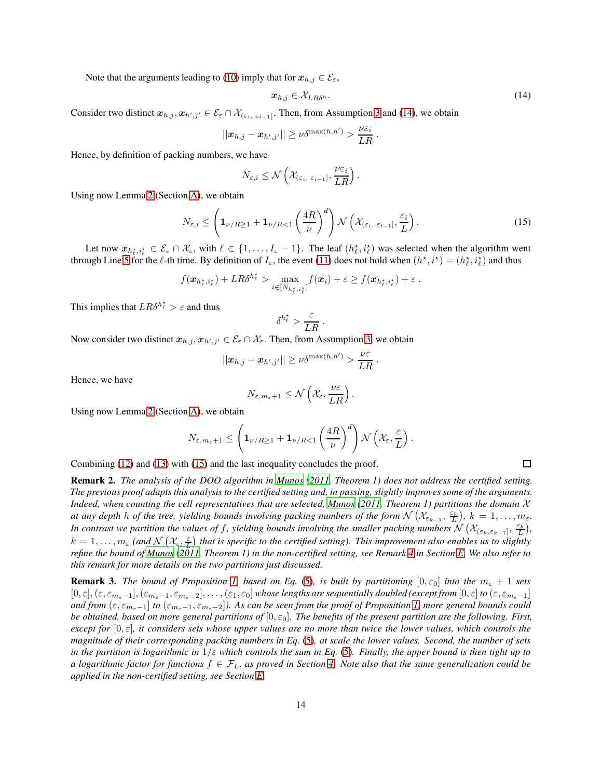Note that the arguments leading to [\(10\)](#page-12-2) imply that for  $x_{h,j} \in \mathcal{E}_{\varepsilon}$ ,

$$
x_{h,j} \in \mathcal{X}_{LR\delta^h}.\tag{14}
$$

<span id="page-13-1"></span>.

Consider two distinct  $x_{h,j}, x_{h',j'} \in \mathcal{E}_{\varepsilon} \cap \mathcal{X}_{(\varepsilon_i, \varepsilon_{i-1}]}$ . Then, from Assumption [3](#page-4-3) and [\(14\)](#page-13-1), we obtain

$$
||\boldsymbol{x}_{h,j}-\boldsymbol{x}_{h',j'}||\geq \nu \delta^{\max(h,h')} > \frac{\nu \varepsilon_i}{LR}
$$

Hence, by definition of packing numbers, we have

<span id="page-13-2"></span>
$$
N_{\varepsilon,i} \le \mathcal{N}\left(\mathcal{X}_{(\varepsilon_i, \varepsilon_{i-1}]}, \frac{\nu \varepsilon_i}{LR}\right)
$$

Using now Lemma [2](#page-11-3) (Section [A\)](#page-11-0), we obtain

$$
N_{\varepsilon,i} \leq \left(\mathbf{1}_{\nu/R\geq 1} + \mathbf{1}_{\nu/R<1} \left(\frac{4R}{\nu}\right)^{d}\right) \mathcal{N}\left(\mathcal{X}_{(\varepsilon_{i},\varepsilon_{i-1}]},\frac{\varepsilon_{i}}{L}\right).
$$
 (15)

.

Let now  $x_{h_\ell^*, i_\ell^*} \in \mathcal{E}_{\varepsilon} \cap \mathcal{X}_{\varepsilon}$ , with  $\ell \in \{1, \ldots, I_{\varepsilon}-1\}$ . The leaf  $(h_\ell^*, i_\ell^*)$  was selected when the algorithm went through Line [5](#page-5-2) for the  $\ell$ -th time. By definition of  $I_{\varepsilon}$ , the event [\(11\)](#page-12-1) does not hold when  $(h^*, i^*) = (h^*_{\ell}, i^*_{\ell})$  and thus

$$
f(\boldsymbol{x}_{h_\ell^*,i_\ell^*})+LR\delta^{h_\ell^*} > \max_{i\in[N_{h_\ell^*,i_\ell^*}]}f(\boldsymbol{x}_i)+\varepsilon \geq f(\boldsymbol{x}_{h_\ell^*,i_\ell^*})+\varepsilon.
$$

This implies that  $LR\delta^{h_{\ell}^{\star}} > \varepsilon$  and thus

$$
\delta^{h_{\ell}^{\star}} > \frac{\varepsilon}{LR} \ .
$$

Now consider two distinct  $x_{h,j}, x_{h',j'} \in \mathcal{E}_\varepsilon \cap \mathcal{X}_\varepsilon$ . Then, from Assumption [3,](#page-4-3) we obtain

$$
||x_{h,j}-x_{h',j'}|| \geq \nu \delta^{\max(h,h')} > \frac{\nu \varepsilon}{LR}.
$$

Hence, we have

$$
N_{\varepsilon,m_{\varepsilon}+1}\leq\mathcal{N}\left(\mathcal{X}_{\varepsilon},\frac{\nu\varepsilon}{LR}\right).
$$

Using now Lemma [2](#page-11-3) (Section [A\)](#page-11-0), we obtain

$$
N_{\varepsilon,m_{\varepsilon}+1} \leq \left(\mathbf{1}_{\nu/R\geq 1} + \mathbf{1}_{\nu/R<1}\left(\frac{4R}{\nu}\right)^d\right) \mathcal{N}\left(\mathcal{X}_{\varepsilon},\frac{\varepsilon}{L}\right).
$$

<span id="page-13-0"></span>Combining [\(12\)](#page-12-3) and [\(13\)](#page-12-4) with [\(15\)](#page-13-2) and the last inequality concludes the proof.

Remark 2. *The analysis of the DOO algorithm in [Munos \(2011,](#page-10-5) Theorem 1) does not address the certified setting. The previous proof adapts this analysis to the certified setting and, in passing, slightly improves some of the arguments. Indeed, when counting the cell representatives that are selected, [Munos \(2011,](#page-10-5) Theorem 1) partitions the domain* X *at any depth h of the tree, yielding bounds involving packing numbers of the form*  $\mathcal{N}(\mathcal{X}_{\varepsilon_{k-1}},\frac{\varepsilon_k}{L})$ ,  $k=1,\ldots,m_\varepsilon$ . *In contrast we partition the values of f, yielding bounds involving the smaller packing numbers*  $\mathcal{N}(\mathcal{X}_{(\varepsilon_k,\varepsilon_{k-1}]},\frac{\varepsilon_k}{L})$ *,*  $k=1,\ldots,m_\varepsilon$  (and  $\mathcal{N}\left(\mathcal{X}_\varepsilon,\frac{\varepsilon}{L}\right)$  that is specific to the certified setting). This improvement also enables us to slightly *refine the bound of [Munos](#page-10-5) [\(2011,](#page-10-5) Theorem 1) in the non-certified setting, see Remark [4](#page-18-0) in Section [E.](#page-17-0) We also refer to this remark for more details on the two partitions just discussed.*

**Remark 3.** *The bound of Proposition [1,](#page-5-10) based on Eq.* [\(5\)](#page-2-0), *is built by partitioning*  $[0, \varepsilon_0]$  *into the*  $m_{\varepsilon} + 1$  *sets*  $[0,\varepsilon],(\varepsilon,\varepsilon_{m_{\varepsilon}-1}],(\varepsilon_{m_{\varepsilon}-1},\varepsilon_{m_{\varepsilon}-2}],\ldots,(\varepsilon_1,\varepsilon_0]$  whose lengths are sequentially doubled (except from  $[0,\varepsilon]$  to  $(\varepsilon,\varepsilon_{m_{\varepsilon}-1}]$ *and from*  $(\epsilon, \epsilon_{m_{\epsilon}-1}]$  *to*  $(\epsilon_{m_{\epsilon}-1}, \epsilon_{m_{\epsilon}-2}]$ *). As can be seen from the proof of Proposition [1,](#page-5-10) more general bounds could be obtained, based on more general partitions of*  $[0, \varepsilon_0]$ . The *benefits of the present partition are the following. First, except for*  $[0, \varepsilon]$ *, it considers sets whose upper values are no more than twice the lower values, which controls the magnitude of their corresponding packing numbers in Eq.* [\(5\)](#page-2-0)*, at scale the lower values. Second, the number of sets in the partition is logarithmic in*  $1/\varepsilon$  *which controls the sum in Eq.* [\(5\)](#page-2-0). Finally, the upper bound is then tight up to *a logarithmic factor for functions*  $f \in \mathcal{F}_L$ , as proved in Section [4.](#page-7-0) Note also that the same generalization could be *applied in the non-certified setting, see Section [E.](#page-17-0)*

 $\Box$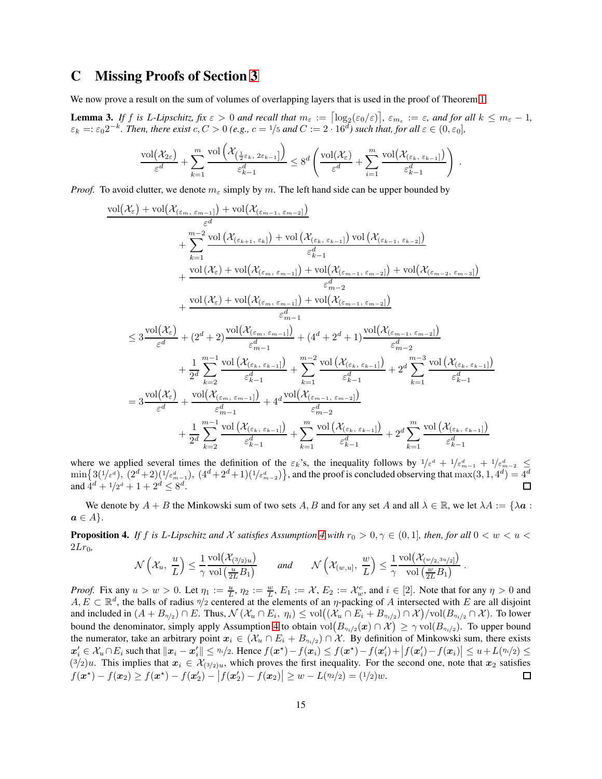## C Missing Proofs of Section [3](#page-5-1)

<span id="page-14-0"></span>We now prove a result on the sum of volumes of overlapping layers that is used in the proof of Theorem [1.](#page-6-2)

**Lemma 3.** If f is L-Lipschitz, fix  $\varepsilon > 0$  and recall that  $m_{\varepsilon} := \left[\log_2(\varepsilon_0/\varepsilon)\right]$ ,  $\varepsilon_{m_{\varepsilon}} := \varepsilon$ , and for all  $k \le m_{\varepsilon} - 1$ ,  $\varepsilon_k =: \varepsilon_0 2^{-k}$ . Then, there exist  $c, C > 0$  (e.g.,  $c = 1/5$  and  $C := 2 \cdot 16^d$ ) such that, for all  $\varepsilon \in (0, \varepsilon_0]$ ,

$$
\frac{\text{vol}(\mathcal{X}_{2\varepsilon})}{\varepsilon^d} + \sum_{k=1}^m \frac{\text{vol}\left(\mathcal{X}_{\left(\frac{1}{2}\varepsilon_k, 2\varepsilon_{k-1}\right]}\right)}{\varepsilon_{k-1}^d} \leq 8^d \left(\frac{\text{vol}(\mathcal{X}_{\varepsilon})}{\varepsilon^d} + \sum_{i=1}^m \frac{\text{vol}(\mathcal{X}_{\left(\varepsilon_k, \varepsilon_{k-1}\right]})}{\varepsilon_{k-1}^d}\right).
$$

*Proof.* To avoid clutter, we denote  $m_{\varepsilon}$  simply by m. The left hand side can be upper bounded by

$$
\begin{aligned} \frac{\mathrm{vol}(\mathcal{X}_{\varepsilon})+\mathrm{vol}\big(\mathcal{X}_{(\varepsilon_{m},\varepsilon_{m-1})}\big)+\mathrm{vol}\big(\mathcal{X}_{(\varepsilon_{k+1},\varepsilon_{k})}\big)}{\varepsilon^{d}} \\ &+\sum_{k=1}^{m-2}\frac{\mathrm{vol}\left(\mathcal{X}_{(\varepsilon_{k+1},\varepsilon_{k})}\right)+\mathrm{vol}\left(\mathcal{X}_{(\varepsilon_{k},\varepsilon_{k-1})}\right)\mathrm{vol}\left(\mathcal{X}_{(\varepsilon_{k-1},\varepsilon_{k-2})}\right)}{\varepsilon^{d}_{k-1}} \\ &+\frac{\mathrm{vol}(\mathcal{X}_{\varepsilon})+\mathrm{vol}\big(\mathcal{X}_{(\varepsilon_{m},\varepsilon_{m-1})}\big)+\mathrm{vol}\big(\mathcal{X}_{(\varepsilon_{m-1},\varepsilon_{m-2})}\big)+\mathrm{vol}\big(\mathcal{X}_{(\varepsilon_{m-2},\varepsilon_{m-3})}\big)}{\varepsilon^{d}_{m-2}} \\ &+\frac{\mathrm{vol}\big(\mathcal{X}_{\varepsilon})+\mathrm{vol}\big(\mathcal{X}_{(\varepsilon_{m},\varepsilon_{m-1})}\big)+\mathrm{vol}\big(\mathcal{X}_{(\varepsilon_{m-1},\varepsilon_{m-2})}\big)}{\varepsilon^{d}_{m-1}} \\ &\leq 3\frac{\mathrm{vol}\big(\mathcal{X}_{\varepsilon}\big)}{\varepsilon^{d}}+\big(2^{d}+2\big)\frac{\mathrm{vol}\big(\mathcal{X}_{(\varepsilon_{m},\varepsilon_{m-1})}\big)}{\varepsilon^{d}_{m-1}}+\big(4^{d}+2^{d}+1\big)\frac{\mathrm{vol}\big(\mathcal{X}_{(\varepsilon_{m-1},\varepsilon_{m-2})}\big)}{\varepsilon^{d}_{m-2}} \\ &+\frac{1}{2^{d}}\sum_{k=2}^{m-1}\frac{\mathrm{vol}\big(\mathcal{X}_{(\varepsilon_{k},\varepsilon_{k-1})}\big)}{\varepsilon^{d}_{k-1}}+\frac{2^{d}}{\varepsilon^{d}_{k-1}}\frac{\mathrm{vol}\big(\mathcal{X}_{(\varepsilon_{k},\varepsilon_{k-1})}\big)}{\varepsilon^{d}_{m-2}} \\ &+\frac{1}{2^{d}}\sum_{k=2}^{m-1}\frac{\mathrm{vol}\big(\mathcal{X}_{(\varepsilon_{m},\
$$

where we applied several times the definition of the  $\varepsilon_k$ 's, the inequality follows by  $1/\varepsilon^d + 1/\varepsilon_{m-1}^d + 1/\varepsilon_{m-2}^d \le$  $\min\{3(1/\varepsilon^d),\ (2^d+2)(1/\varepsilon_{m-1}^d),\ (4^d+2^d+1)(1/\varepsilon_{m-2}^d)\}\text{, and the proof is concluded observing that } \max(3,1,4^d)=4^d$ and  $\hat{4}^d + 1/2^d + 1 + 2^d \leq 8^d$ .

<span id="page-14-1"></span>We denote by  $A + B$  the Minkowski sum of two sets A, B and for any set A and all  $\lambda \in \mathbb{R}$ , we let  $\lambda A := \{\lambda a :$  $a \in A$ .

**Proposition [4](#page-6-0).** *If f is L-Lipschitz and X satisfies Assumption 4 with*  $r_0 > 0, \gamma \in (0,1]$ *, then, for all*  $0 < w < u <$  $2Lr_0$ 

$$
\mathcal{N}\left(\mathcal{X}_u, \ \frac{u}{L}\right) \leq \frac{1}{\gamma} \frac{\text{vol}\big(\mathcal{X}_{(3/2)u}\big)}{\text{vol}\left(\frac{u}{2L}B_1\right)} \qquad \text{and} \qquad \mathcal{N}\left(\mathcal{X}_{(w,u]}, \ \frac{w}{L}\right) \leq \frac{1}{\gamma} \frac{\text{vol}\big(\mathcal{X}_{(w/2,3u/2]}\big)}{\text{vol}\left(\frac{w}{2L}B_1\right)} \ .
$$

*Proof.* Fix any  $u > w > 0$ . Let  $\eta_1 := \frac{u}{L}$ ,  $\eta_2 := \frac{w}{L}$ ,  $E_1 := \mathcal{X}$ ,  $E_2 := \mathcal{X}_w^c$ , and  $i \in [2]$ . Note that for any  $\eta > 0$  and  $A, E \subset \mathbb{R}^d$ , the balls of radius  $\eta/2$  centered at the elements of an  $\eta$ -packing of A intersected with E are all disjoint and included in  $(A + B_{\eta/2}) \cap E$ . Thus,  $\mathcal{N}(\mathcal{X}_u \cap E_i, \eta_i) \le \text{vol}((\mathcal{X}_u \cap E_i + B_{\eta_i/2}) \cap \mathcal{X})/\text{vol}(B_{\eta_i/2} \cap \mathcal{X})$ . To lower bound the denominator, simply apply Assumption [4](#page-6-0) to obtain  $\text{vol}(B_{n_i/2}(\boldsymbol{x}) \cap \mathcal{X}) \ge \gamma \text{vol}(B_{n_i/2})$ . To upper bound the numerator, take an arbitrary point  $x_i \in (\mathcal{X}_u \cap E_i + B_{\eta_i/2}) \cap \mathcal{X}$ . By definition of Minkowski sum, there exists  $x_i' \in \mathcal{X}_u \cap E_i$  such that  $||x_i - x_i'|| \leq \frac{\eta_i}{2}$ . Hence  $f(x^*) - f(x_i) \leq f(x^*) - f(x_i') + |f(x_i') - f(x_i)| \leq u + L(\frac{\eta_i}{2}) \leq$  $(3/2)u$ . This implies that  $x_i \in \mathcal{X}_{(3/2)u}$ , which proves the first inequality. For the second one, note that  $x_2$  satisfies  $f(\mathbf{x}^*) - f(\mathbf{x}_2) \ge f(\mathbf{x}^*) - f(\mathbf{x}'_2) - |f(\mathbf{x}'_2) - f(\mathbf{x}_2)| \ge w - L(n_2/2) = (1/2)w.$  $\Box$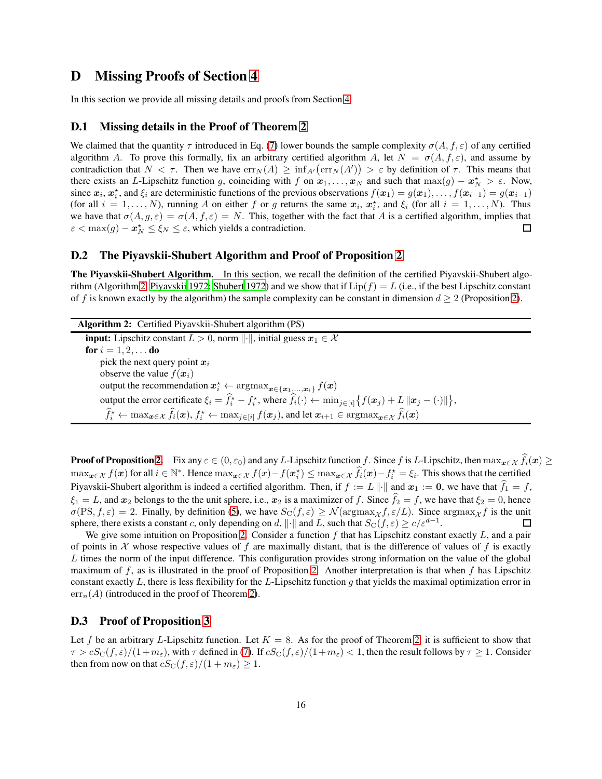## D Missing Proofs of Section [4](#page-7-0)

<span id="page-15-1"></span>In this section we provide all missing details and proofs from Section [4.](#page-7-0)

### D.1 Missing details in the Proof of Theorem [2](#page-7-1)

We claimed that the quantity  $\tau$  introduced in Eq. [\(7\)](#page-7-2) lower bounds the sample complexity  $\sigma(A, f, \varepsilon)$  of any certified algorithm A. To prove this formally, fix an arbitrary certified algorithm A, let  $N = \sigma(A, f, \varepsilon)$ , and assume by contradiction that  $N < \tau$ . Then we have  $err_N(A) \ge \inf_{A'}(err_N(A')) > \varepsilon$  by definition of  $\tau$ . This means that there exists an L-Lipschitz function g, coinciding with f on  $x_1, \ldots, x_N$  and such that  $\max(g) - x_N^* > \varepsilon$ . Now, since  $x_i, x_i^*$ , and  $\xi_i$  are deterministic functions of the previous observations  $f(x_1) = g(x_1), \ldots, f(x_{i-1}) = g(x_{i-1})$ (for all  $i = 1, ..., N$ ), running A on either f or g returns the same  $x_i$ ,  $x_i^*$ , and  $\xi_i$  (for all  $i = 1, ..., N$ ). Thus we have that  $\sigma(A, g, \varepsilon) = \sigma(A, f, \varepsilon) = N$ . This, together with the fact that A is a certified algorithm, implies that  $\varepsilon < \max(g) - \boldsymbol{x}_N^* \leq \xi_N \leq \varepsilon$ , which yields a contradiction.  $\Box$ 

### <span id="page-15-0"></span>D.2 The Piyavskii-Shubert Algorithm and Proof of Proposition [2](#page-8-1)

The Piyavskii-Shubert Algorithm. In this section, we recall the definition of the certified Piyavskii-Shubert algo-rithm (Algorithm [2,](#page-15-3) [Piyavskii 1972;](#page-10-8) [Shubert 1972](#page-10-9)) and we show that if  $\text{Lip}(f) = L$  (i.e., if the best Lipschitz constant of f is known exactly by the algorithm) the sample complexity can be constant in dimension  $d \ge 2$  (Proposition [2\)](#page-8-1).

Algorithm 2: Certified Piyavskii-Shubert algorithm (PS) **input:** Lipschitz constant  $L > 0$ , norm  $\|\cdot\|$ , initial guess  $x_1 \in \mathcal{X}$ for  $i = 1, 2, ...$  do pick the next query point  $x_i$ observe the value  $f(\boldsymbol{x}_i)$ output the recommendation  $\boldsymbol{x}_i^\star \leftarrow \operatorname{argmax}_{\boldsymbol{x} \in \{ \boldsymbol{x}_1, ..., \boldsymbol{x}_i \}} f(\boldsymbol{x})$ output the error certificate  $\xi_i = \hat{f}_i^* - f_i^*$ , where  $\hat{f}_i(\cdot) \leftarrow \min_{j \in [i]} \left\{ f(x_j) + L \left\| x_j - (\cdot) \right\| \right\}$ ,  $\hat{f}_i^{\star} \leftarrow \max_{\boldsymbol{x} \in \mathcal{X}} \hat{f}_i(\boldsymbol{x}), f_i^{\star} \leftarrow \max_{j \in [i]} f(\boldsymbol{x}_j)$ , and let  $\boldsymbol{x}_{i+1} \in \operatorname{argmax}_{\boldsymbol{x} \in \mathcal{X}} \hat{f}_i(\boldsymbol{x})$ 

<span id="page-15-3"></span>**Proof of Proposition [2.](#page-8-1)** Fix any  $\varepsilon \in (0, \varepsilon_0)$  and any L-Lipschitz function f. Since f is L-Lipschitz, then  $\max_{x \in \mathcal{X}} \hat{f}_i(x) \geq$  $\max_{\boldsymbol{x}\in\mathcal{X}} f(\boldsymbol{x})$  for all  $i \in \mathbb{N}^*$ . Hence  $\max_{\boldsymbol{x}\in\mathcal{X}} f(\boldsymbol{x}) - f(\boldsymbol{x}_i^{\star}) \leq \max_{\boldsymbol{x}\in\mathcal{X}} \hat{f}_i(\boldsymbol{x}) - f_i^{\star} = \xi_i$ . This shows that the certified Piyavskii-Shubert algorithm is indeed a certified algorithm. Then, if  $f := L \|\cdot\|$  and  $x_1 := 0$ , we have that  $\widehat{f}_1 = f$ ,  $\xi_1 = L$ , and  $x_2$  belongs to the the unit sphere, i.e.,  $x_2$  is a maximizer of f. Since  $f_2 = f$ , we have that  $\xi_2 = 0$ , hence  $\sigma(\text{PS}, f, \varepsilon) = 2$ . Finally, by definition [\(5\)](#page-2-0), we have  $S_{\text{C}}(f, \varepsilon) \geq \mathcal{N}(\argmax_{\mathcal{X}} f, \varepsilon/L)$ . Since  $\argmax_{\mathcal{X}} f$  is the unit sphere, there exists a constant c, only depending on d,  $\|\cdot\|$  and L, such that  $S_{\text{C}}(f, \varepsilon) \ge c/\varepsilon^{d-1}$ .  $\Box$ 

We give some intuition on Proposition [2.](#page-8-1) Consider a function  $f$  that has Lipschitz constant exactly  $L$ , and a pair of points in  $\mathcal X$  whose respective values of f are maximally distant, that is the difference of values of f is exactly  $L$  times the norm of the input difference. This configuration provides strong information on the value of the global maximum of  $f$ , as is illustrated in the proof of Proposition [2.](#page-8-1) Another interpretation is that when  $f$  has Lipschitz constant exactly L, there is less flexibility for the L-Lipschitz function q that yields the maximal optimization error in  $err_n(A)$  (introduced in the proof of Theorem [2\)](#page-7-1).

### <span id="page-15-2"></span>D.3 Proof of Proposition [3](#page-9-2)

Let f be an arbitrary L-Lipschitz function. Let  $K = 8$ . As for the proof of Theorem [2,](#page-7-1) it is sufficient to show that  $\tau > cS_{\rm C}(f,\varepsilon)/(1+m_{\varepsilon})$ , with  $\tau$  defined in [\(7\)](#page-7-2). If  $cS_{\rm C}(f,\varepsilon)/(1+m_{\varepsilon}) < 1$ , then the result follows by  $\tau \ge 1$ . Consider then from now on that  $cS_{\text{C}}(f, \varepsilon)/(1 + m_{\varepsilon}) \geq 1$ .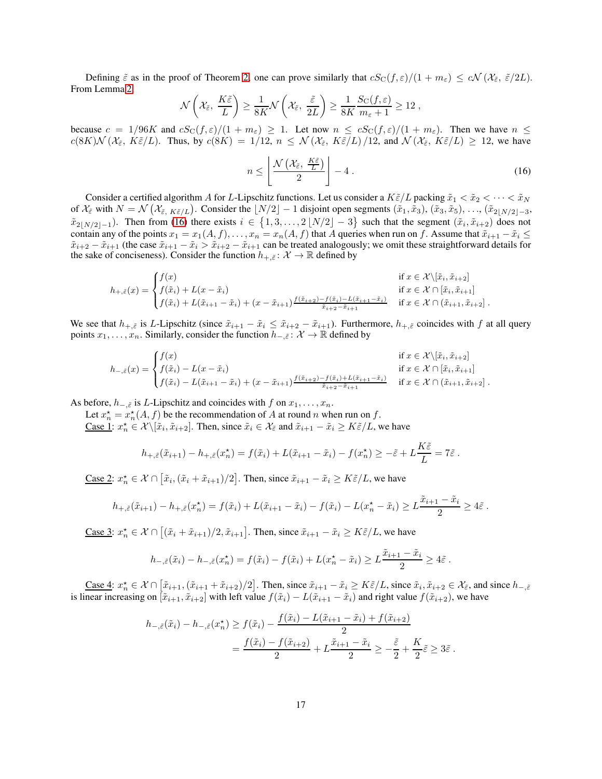Defining  $\tilde{\varepsilon}$  as in the proof of Theorem [2,](#page-7-1) one can prove similarly that  $cS_{\rm C}(f,\varepsilon)/(1+m_{\varepsilon}) \leq c\mathcal{N}(\mathcal{X}_{\tilde{\varepsilon}},\tilde{\varepsilon}/2L)$ . From Lemma [2,](#page-11-3)

$$
\mathcal{N}\left(\mathcal{X}_{\tilde{\varepsilon}},\ \frac{K\tilde{\varepsilon}}{L}\right)\geq \frac{1}{8K}\mathcal{N}\left(\mathcal{X}_{\tilde{\varepsilon}},\ \frac{\tilde{\varepsilon}}{2L}\right)\geq \frac{1}{8K}\frac{S_{\text{C}}(f,\varepsilon)}{m_{\varepsilon}+1}\geq 12\ ,
$$

<span id="page-16-0"></span>because  $c = 1/96K$  and  $cS_{\rm C}(f,\varepsilon)/(1+m_{\varepsilon}) \geq 1$ . Let now  $n \leq cS_{\rm C}(f,\varepsilon)/(1+m_{\varepsilon})$ . Then we have  $n \leq$  $c(8K) \mathcal{N} \left( \mathcal{X}_{\varepsilon}, K \tilde{\varepsilon} / L \right)$ . Thus, by  $c(8K) = 1/12$ ,  $n \leq \mathcal{N} \left( \mathcal{X}_{\varepsilon}, K \tilde{\varepsilon} / L \right) / 12$ , and  $\mathcal{N} \left( \mathcal{X}_{\varepsilon}, K \tilde{\varepsilon} / L \right) \geq 12$ , we have

$$
n \leq \left\lfloor \frac{\mathcal{N}\left(\mathcal{X}_{\tilde{\varepsilon}}, \frac{K\tilde{\varepsilon}}{L}\right)}{2} \right\rfloor - 4 \,. \tag{16}
$$

Consider a certified algorithm A for L-Lipschitz functions. Let us consider a  $K\tilde{\varepsilon}/L$  packing  $\tilde{x}_1 < \tilde{x}_2 < \cdots < \tilde{x}_N$ of  $\mathcal{X}_{\tilde{\varepsilon}}$  with  $N = \mathcal{N}(\mathcal{X}_{\tilde{\varepsilon}}, K \tilde{\varepsilon}/L)$ . Consider the  $\lfloor N/2 \rfloor - 1$  disjoint open segments  $(\tilde{x}_1, \tilde{x}_3), (\tilde{x}_3, \tilde{x}_5), \ldots, (\tilde{x}_{2\lfloor N/2 \rfloor - 3},$  $\tilde{x}_{2\lfloor N/2\rfloor-1}$ ). Then from [\(16\)](#page-16-0) there exists  $i \in \{1, 3, ..., 2\lfloor N/2\rfloor - 3\}$  such that the segment  $(\tilde{x}_i, \tilde{x}_{i+2})$  does not contain any of the points  $x_1 = x_1(A, f), \ldots, x_n = x_n(A, f)$  that A queries when run on f. Assume that  $\tilde{x}_{i+1} - \tilde{x}_i \leq$  $\tilde{x}_{i+2} - \tilde{x}_{i+1}$  (the case  $\tilde{x}_{i+1} - \tilde{x}_i > \tilde{x}_{i+2} - \tilde{x}_{i+1}$  can be treated analogously; we omit these straightforward details for the sake of conciseness). Consider the function  $h_{+,\tilde{\varepsilon}}: \mathcal{X} \to \mathbb{R}$  defined by

$$
h_{+,\tilde{\varepsilon}}(x) = \begin{cases} f(x) & \text{if } x \in \mathcal{X} \setminus [\tilde{x}_i, \tilde{x}_{i+2}] \\ f(\tilde{x}_i) + L(x - \tilde{x}_i) & \text{if } x \in \mathcal{X} \cap [\tilde{x}_i, \tilde{x}_{i+1}] \\ f(\tilde{x}_i) + L(\tilde{x}_{i+1} - \tilde{x}_i) + (x - \tilde{x}_{i+1}) \frac{f(\tilde{x}_{i+2}) - f(\tilde{x}_i) - L(\tilde{x}_{i+1} - \tilde{x}_i)}{\tilde{x}_{i+2} - \tilde{x}_{i+1}} & \text{if } x \in \mathcal{X} \cap (\tilde{x}_{i+1}, \tilde{x}_{i+2}) \end{cases}.
$$

We see that  $h_{+,\tilde{\varepsilon}}$  is L-Lipschitz (since  $\tilde{x}_{i+1} - \tilde{x}_i \leq \tilde{x}_{i+2} - \tilde{x}_{i+1}$ ). Furthermore,  $h_{+,\tilde{\varepsilon}}$  coincides with f at all query points  $x_1, \ldots, x_n$ . Similarly, consider the function  $h_{-,\tilde{\varepsilon}} \colon \mathcal{X} \to \mathbb{R}$  defined by

$$
h_{-,\tilde{\varepsilon}}(x) = \begin{cases} f(x) & \text{if } x \in \mathcal{X} \setminus [\tilde{x}_i, \tilde{x}_{i+2}] \\ f(\tilde{x}_i) - L(x - \tilde{x}_i) & \text{if } x \in \mathcal{X} \cap [\tilde{x}_i, \tilde{x}_{i+1}] \\ f(\tilde{x}_i) - L(\tilde{x}_{i+1} - \tilde{x}_i) + (x - \tilde{x}_{i+1}) \frac{f(\tilde{x}_{i+2}) - f(\tilde{x}_i) + L(\tilde{x}_{i+1} - \tilde{x}_i)}{\tilde{x}_{i+2} - \tilde{x}_{i+1}} & \text{if } x \in \mathcal{X} \cap (\tilde{x}_{i+1}, \tilde{x}_{i+2}] \end{cases}.
$$

As before,  $h_{-\tilde{\varepsilon}}$  is L-Lipschitz and coincides with f on  $x_1, \ldots, x_n$ .

Let  $x_n^* = x_n^*(A, f)$  be the recommendation of A at round n when run on f.

Case 1:  $x_n^* \in \mathcal{X} \setminus [\tilde{x}_i, \tilde{x}_{i+2}]$ . Then, since  $\tilde{x}_i \in \mathcal{X}_{\tilde{\varepsilon}}$  and  $\tilde{x}_{i+1} - \tilde{x}_i \geq K \tilde{\varepsilon}/L$ , we have

$$
h_{+,\tilde{\varepsilon}}(\tilde{x}_{i+1}) - h_{+,\tilde{\varepsilon}}(x_n^{\star}) = f(\tilde{x}_i) + L(\tilde{x}_{i+1} - \tilde{x}_i) - f(x_n^{\star}) \geq -\tilde{\varepsilon} + L\frac{K\tilde{\varepsilon}}{L} = 7\tilde{\varepsilon}.
$$

<u>Case 2</u>:  $x_n^* \in \mathcal{X} \cap [\tilde{x}_i, (\tilde{x}_i + \tilde{x}_{i+1})/2]$ . Then, since  $\tilde{x}_{i+1} - \tilde{x}_i \geq K\tilde{\varepsilon}/L$ , we have

$$
h_{+,\tilde{\varepsilon}}(\tilde{x}_{i+1}) - h_{+,\tilde{\varepsilon}}(x_n^*) = f(\tilde{x}_i) + L(\tilde{x}_{i+1} - \tilde{x}_i) - f(\tilde{x}_i) - L(x_n^* - \tilde{x}_i) \ge L\frac{\tilde{x}_{i+1} - \tilde{x}_i}{2} \ge 4\tilde{\varepsilon}.
$$

<u>Case 3</u>:  $x_n^* \in \mathcal{X} \cap [(\tilde{x}_i + \tilde{x}_{i+1})/2, \tilde{x}_{i+1}]$ . Then, since  $\tilde{x}_{i+1} - \tilde{x}_i \geq K\tilde{\varepsilon}/L$ , we have

$$
h_{-,\tilde{\varepsilon}}(\tilde{x}_i) - h_{-,\tilde{\varepsilon}}(x_n^*) = f(\tilde{x}_i) - f(\tilde{x}_i) + L(x_n^* - \tilde{x}_i) \ge L \frac{\tilde{x}_{i+1} - \tilde{x}_i}{2} \ge 4\tilde{\varepsilon}.
$$

Case 4:  $x_n^* \in \mathcal{X} \cap [\tilde{x}_{i+1}, (\tilde{x}_{i+1} + \tilde{x}_{i+2})/2]$ . Then, since  $\tilde{x}_{i+1} - \tilde{x}_i \geq K \tilde{\varepsilon}/L$ , since  $\tilde{x}_i, \tilde{x}_{i+2} \in \mathcal{X}_{\tilde{\varepsilon}}$ , and since  $h_{-\tilde{\varepsilon}}$ is linear increasing on  $[\tilde{x}_{i+1}, \tilde{x}_{i+2}]$  with left value  $f(\tilde{x}_i) - L(\tilde{x}_{i+1} - \tilde{x}_i)$  and right value  $f(\tilde{x}_{i+2})$ , we have

$$
h_{-,\tilde{\varepsilon}}(\tilde{x}_i) - h_{-,\tilde{\varepsilon}}(x_n^*) \ge f(\tilde{x}_i) - \frac{f(\tilde{x}_i) - L(\tilde{x}_{i+1} - \tilde{x}_i) + f(\tilde{x}_{i+2})}{2}
$$
  
= 
$$
\frac{f(\tilde{x}_i) - f(\tilde{x}_{i+2})}{2} + L \frac{\tilde{x}_{i+1} - \tilde{x}_i}{2} \ge -\frac{\tilde{\varepsilon}}{2} + \frac{K}{2} \tilde{\varepsilon} \ge 3\tilde{\varepsilon}.
$$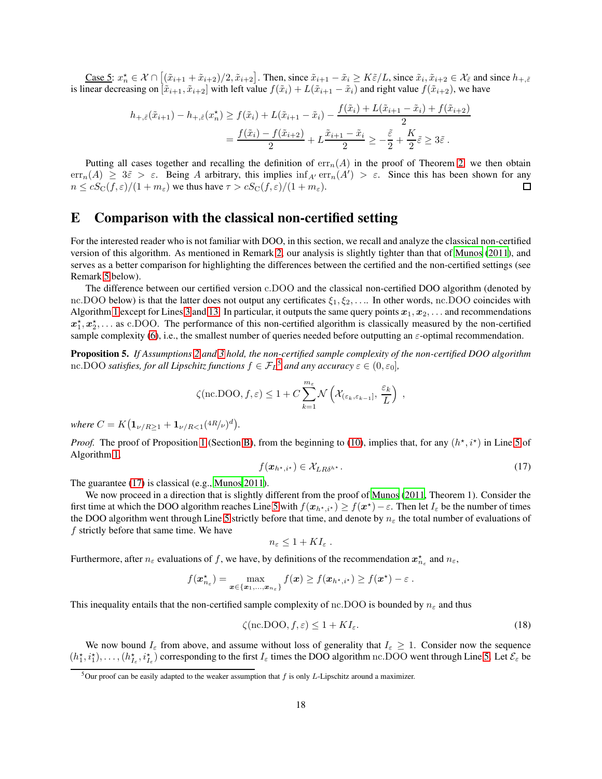Case 5:  $x_n^* \in \mathcal{X} \cap [(\tilde{x}_{i+1} + \tilde{x}_{i+2})/2, \tilde{x}_{i+2}]$ . Then, since  $\tilde{x}_{i+1} - \tilde{x}_i \geq K \tilde{\varepsilon}/L$ , since  $\tilde{x}_i, \tilde{x}_{i+2} \in \mathcal{X}_{\tilde{\varepsilon}}$  and since  $h_{+,\tilde{\varepsilon}}$ is linear decreasing on  $[\tilde{x}_{i+1}, \tilde{x}_{i+2}]$  with left value  $f(\tilde{x}_i) + L(\tilde{x}_{i+1} - \tilde{x}_i)$  and right value  $f(\tilde{x}_{i+2})$ , we have

$$
h_{+,\tilde{\varepsilon}}(\tilde{x}_{i+1}) - h_{+,\tilde{\varepsilon}}(x_n^*) \ge f(\tilde{x}_i) + L(\tilde{x}_{i+1} - \tilde{x}_i) - \frac{f(\tilde{x}_i) + L(\tilde{x}_{i+1} - \tilde{x}_i) + f(\tilde{x}_{i+2})}{2}
$$
  
= 
$$
\frac{f(\tilde{x}_i) - f(\tilde{x}_{i+2})}{2} + L \frac{\tilde{x}_{i+1} - \tilde{x}_i}{2} \ge -\frac{\tilde{\varepsilon}}{2} + \frac{K}{2} \tilde{\varepsilon} \ge 3\tilde{\varepsilon}.
$$

Putting all cases together and recalling the definition of  $err_n(A)$  in the proof of Theorem [2,](#page-7-1) we then obtain err<sub>n</sub>(A)  $\geq 3\tilde{\varepsilon} > \varepsilon$ . Being A arbitrary, this implies  $\inf_{A'} \text{err}_n(A') > \varepsilon$ . Since this has been shown for any  $n \leq cS_{\rm C}(f,\varepsilon)/(1+m_{\varepsilon})$  we thus have  $\tau > cS_{\rm C}(f,\varepsilon)/(1+m_{\varepsilon})$ .  $\Box$ 

## <span id="page-17-0"></span>E Comparison with the classical non-certified setting

For the interested reader who is not familiar with DOO, in this section, we recall and analyze the classical non-certified version of this algorithm. As mentioned in Remark [2,](#page-13-0) our analysis is slightly tighter than that of [Munos \(2011\)](#page-10-5), and serves as a better comparison for highlighting the differences between the certified and the non-certified settings (see Remark [5](#page-18-1) below).

The difference between our certified version c.DOO and the classical non-certified DOO algorithm (denoted by nc.DOO below) is that the latter does not output any certificates  $\xi_1, \xi_2, \ldots$ . In other words, nc.DOO coincides with Algorithm [1](#page-5-0) except for Lines [3](#page-5-11) and [13.](#page-5-7) In particular, it outputs the same query points  $x_1, x_2, \ldots$  and recommendations  $x_1^*, x_2^*, \ldots$  as c.DOO. The performance of this non-certified algorithm is classically measured by the non-certified sample complexity [\(6\)](#page-3-1), i.e., the smallest number of queries needed before outputting an  $\varepsilon$ -optimal recommendation.

<span id="page-17-4"></span>Proposition 5. *If Assumptions [2](#page-4-2) and [3](#page-4-3) hold, the non-certified sample complexity of the non-certified DOO algorithm* nc.DOO *satisfies, for all Lipschitz functions*  $f \in \mathcal{F}_L^5$  $f \in \mathcal{F}_L^5$  *and any accuracy*  $\varepsilon \in (0, \varepsilon_0]$ ,

$$
\zeta(\text{nc.DOO}, f, \varepsilon) \le 1 + C \sum_{k=1}^{m_{\varepsilon}} \mathcal{N}\left(\mathcal{X}_{(\varepsilon_k, \varepsilon_{k-1}]}, \frac{\varepsilon_k}{L}\right) ,
$$

 $where C = K(\mathbf{1}_{\nu/R \geq 1} + \mathbf{1}_{\nu/R < 1}(4R/\nu)^d).$ 

<span id="page-17-2"></span>*Proof.* The proof of Proposition [1](#page-5-10) (Section [B\)](#page-12-0), from the beginning to [\(10\)](#page-12-2), implies that, for any  $(h^*, i^*)$  in Line [5](#page-5-2) of Algorithm [1,](#page-5-0)

$$
f(\boldsymbol{x}_{h^\star,i^\star}) \in \mathcal{X}_{LR\delta^{h^\star}}.\tag{17}
$$

The guarantee [\(17\)](#page-17-2) is classical (e.g., [Munos 2011](#page-10-5)).

We now proceed in a direction that is slightly different from the proof of [Munos \(2011,](#page-10-5) Theorem 1). Consider the first time at which the DOO algorithm reaches Line [5](#page-5-2) with  $f(x_{h*,i^*}) \ge f(x^*) - \varepsilon$ . Then let  $I_\varepsilon$  be the number of times the DOO algorithm went through Line [5](#page-5-2) strictly before that time, and denote by  $n_{\epsilon}$  the total number of evaluations of  $f$  strictly before that same time. We have

<span id="page-17-3"></span>
$$
n_{\varepsilon} \leq 1 + K I_{\varepsilon} .
$$

Furthermore, after  $n_{\varepsilon}$  evaluations of f, we have, by definitions of the recommendation  $x_{n_{\varepsilon}}^{\star}$  and  $n_{\varepsilon}$ ,

$$
f(\boldsymbol{x}_{n_{\varepsilon}}^{\star}) = \max_{\boldsymbol{x} \in \{\boldsymbol{x}_1, ..., \boldsymbol{x}_{n_{\varepsilon}}\}} f(\boldsymbol{x}) \geq f(\boldsymbol{x}_{h^\star, i^\star}) \geq f(\boldsymbol{x}^\star) - \varepsilon.
$$

This inequality entails that the non-certified sample complexity of nc.DOO is bounded by  $n_{\varepsilon}$  and thus

$$
\zeta(\text{nc.DOO}, f, \varepsilon) \le 1 + K I_{\varepsilon}.\tag{18}
$$

We now bound  $I_{\varepsilon}$  from above, and assume without loss of generality that  $I_{\varepsilon} \geq 1$ . Consider now the sequence  $(h_1^*, i_1^*), \ldots, (h_{I_{\varepsilon}}, i_{I_{\varepsilon}}^*)$  corresponding to the first  $I_{\varepsilon}$  times the DOO algorithm nc.DOO went through Line [5.](#page-5-2) Let  $\mathcal{E}_{\varepsilon}$  be

<span id="page-17-1"></span><sup>&</sup>lt;sup>5</sup>Our proof can be easily adapted to the weaker assumption that  $f$  is only  $L$ -Lipschitz around a maximizer.